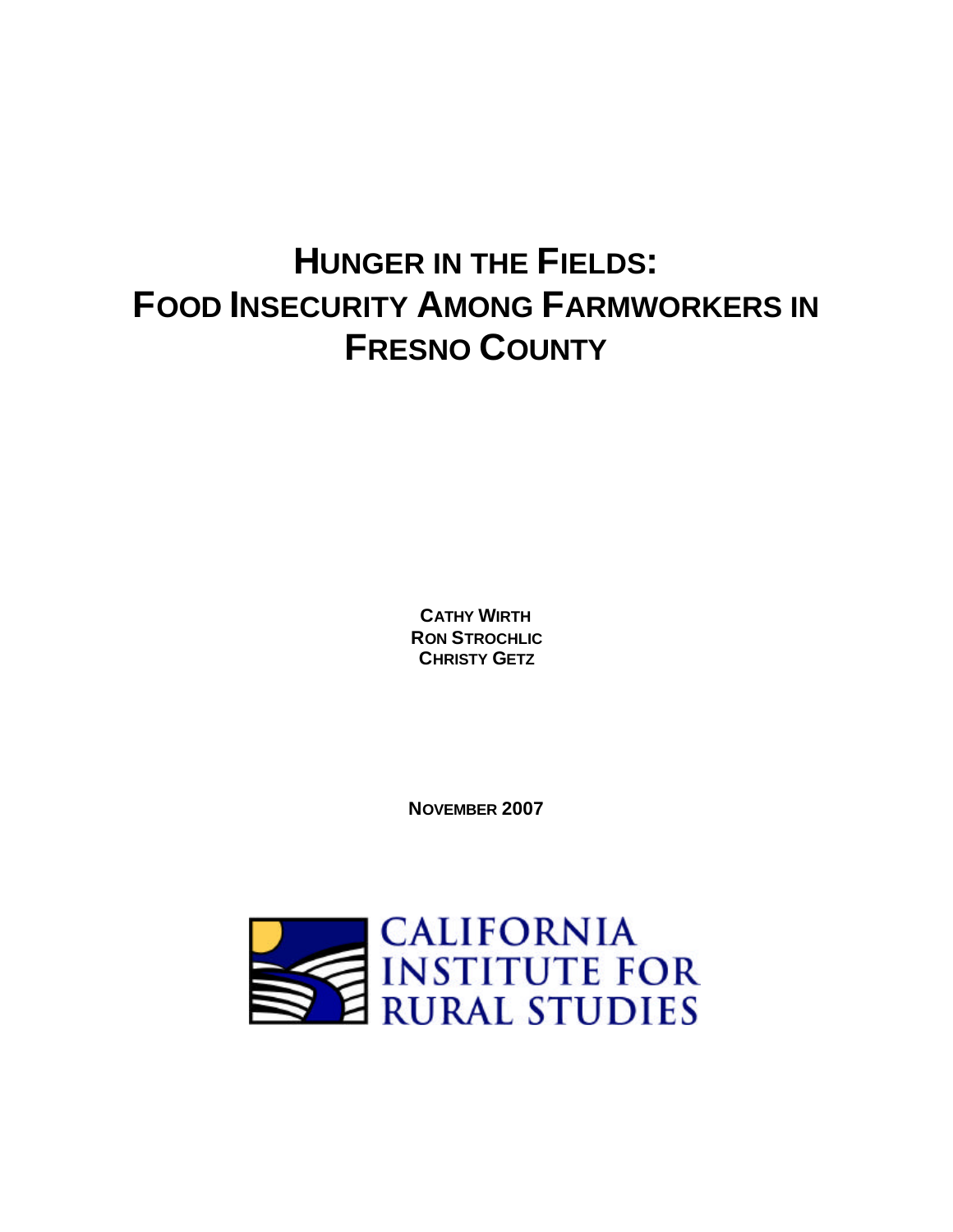# **HUNGER IN THE FIELDS: FOOD INSECURITY AMONG FARMWORKERS IN FRESNO COUNTY**

**CATHY WIRTH RON STROCHLIC CHRISTY GETZ**

**NOVEMBER 2007**

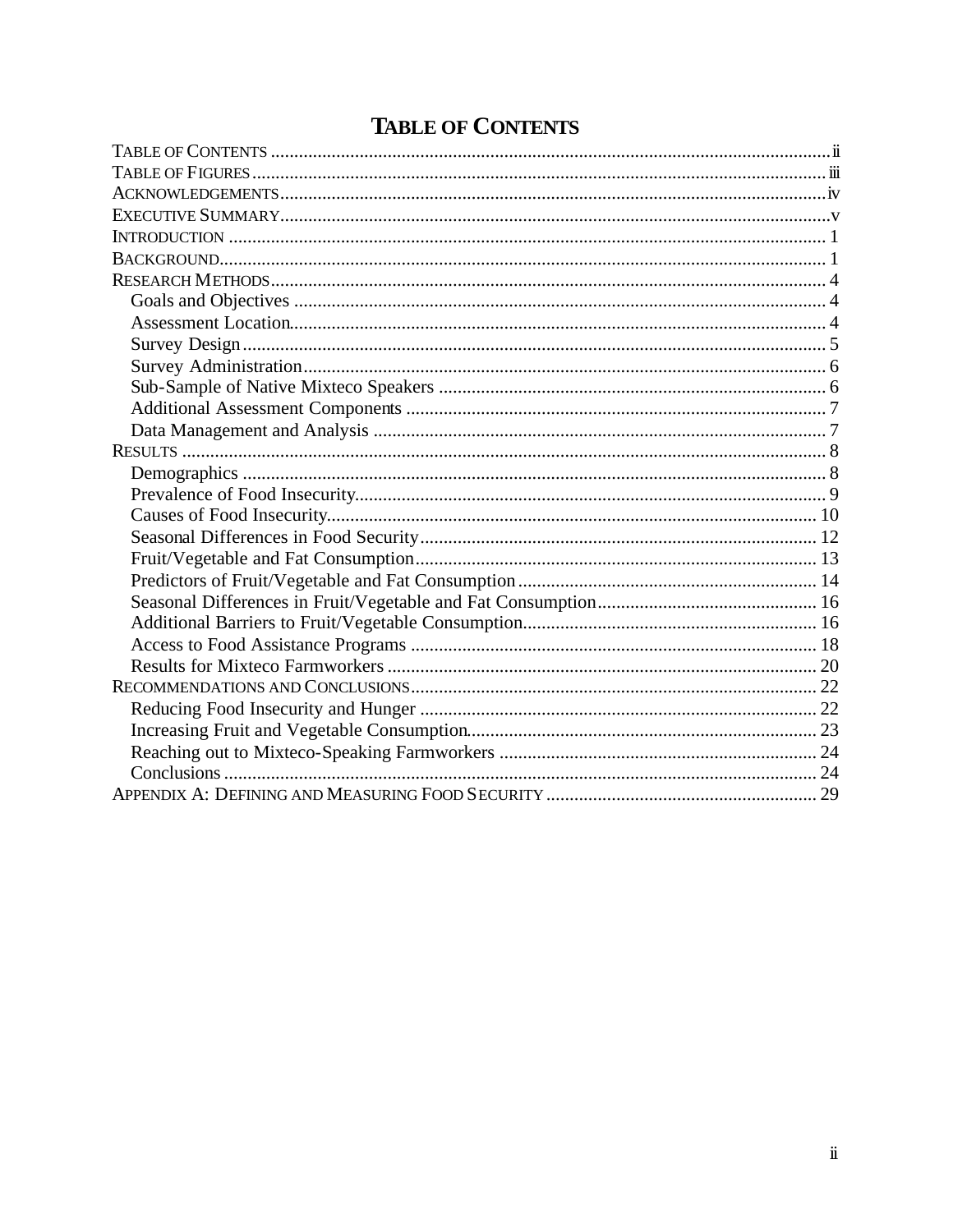## **TABLE OF CONTENTS**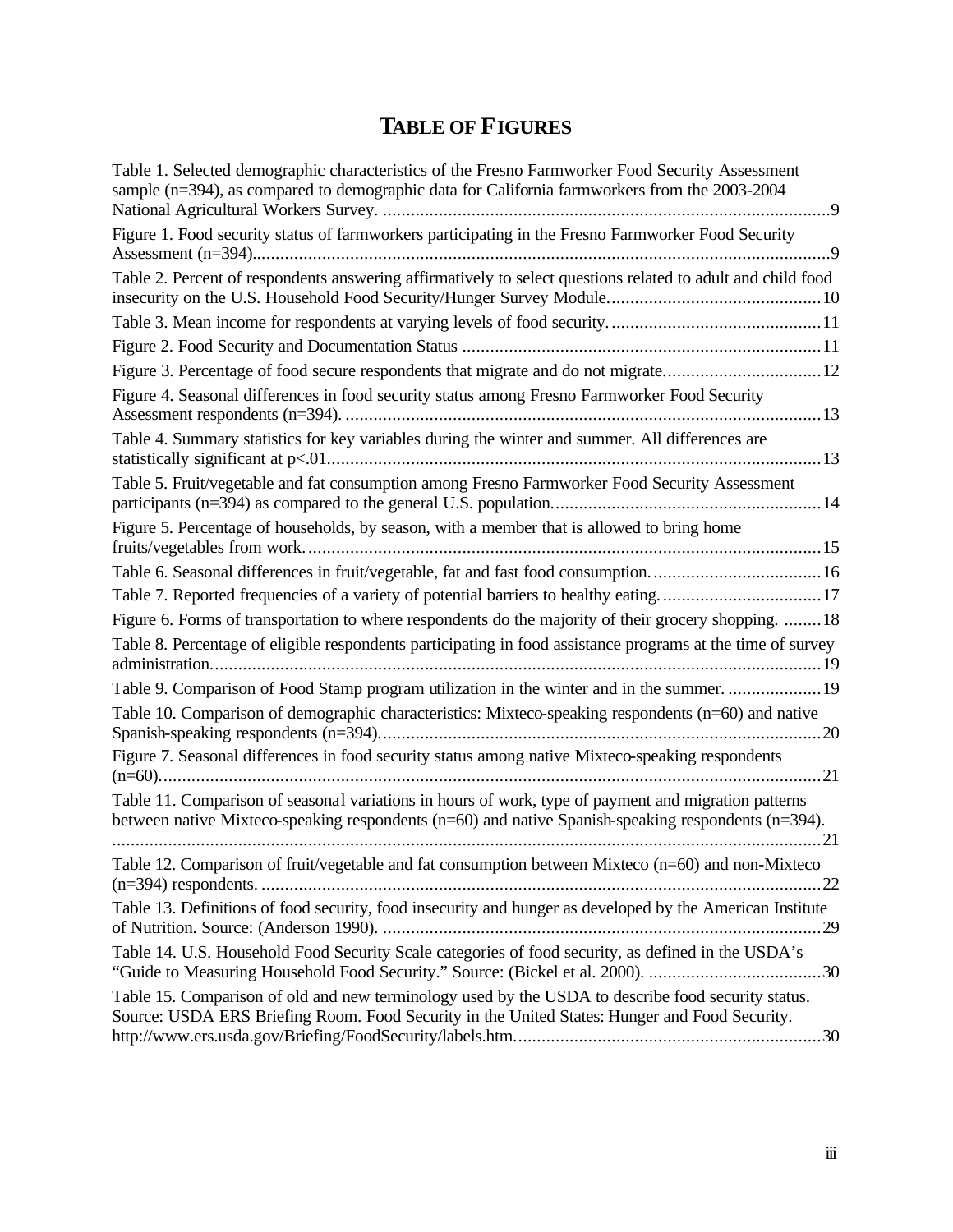## **TABLE OF FIGURES**

| Table 1. Selected demographic characteristics of the Fresno Farmworker Food Security Assessment<br>sample (n=394), as compared to demographic data for California farmworkers from the 2003-2004            |
|-------------------------------------------------------------------------------------------------------------------------------------------------------------------------------------------------------------|
| Figure 1. Food security status of farmworkers participating in the Fresno Farmworker Food Security                                                                                                          |
| Table 2. Percent of respondents answering affirmatively to select questions related to adult and child food                                                                                                 |
|                                                                                                                                                                                                             |
|                                                                                                                                                                                                             |
| Figure 3. Percentage of food secure respondents that migrate and do not migrate12                                                                                                                           |
| Figure 4. Seasonal differences in food security status among Fresno Farmworker Food Security                                                                                                                |
| Table 4. Summary statistics for key variables during the winter and summer. All differences are                                                                                                             |
| Table 5. Fruit/vegetable and fat consumption among Fresno Farmworker Food Security Assessment                                                                                                               |
| Figure 5. Percentage of households, by season, with a member that is allowed to bring home                                                                                                                  |
|                                                                                                                                                                                                             |
| Table 7. Reported frequencies of a variety of potential barriers to healthy eating17                                                                                                                        |
| Figure 6. Forms of transportation to where respondents do the majority of their grocery shopping.  18                                                                                                       |
| Table 8. Percentage of eligible respondents participating in food assistance programs at the time of survey                                                                                                 |
| Table 9. Comparison of Food Stamp program utilization in the winter and in the summer.  19                                                                                                                  |
| Table 10. Comparison of demographic characteristics: Mixteco-speaking respondents (n=60) and native                                                                                                         |
| Figure 7. Seasonal differences in food security status among native Mixteco-speaking respondents                                                                                                            |
| Table 11. Comparison of seasonal variations in hours of work, type of payment and migration patterns<br>between native Mixteco-speaking respondents (n=60) and native Spanish-speaking respondents (n=394). |
| Table 12. Comparison of fruit/vegetable and fat consumption between Mixteco (n=60) and non-Mixteco<br>.22                                                                                                   |
| Table 13. Definitions of food security, food insecurity and hunger as developed by the American Institute                                                                                                   |
| Table 14. U.S. Household Food Security Scale categories of food security, as defined in the USDA's                                                                                                          |
| Table 15. Comparison of old and new terminology used by the USDA to describe food security status.<br>Source: USDA ERS Briefing Room. Food Security in the United States: Hunger and Food Security.         |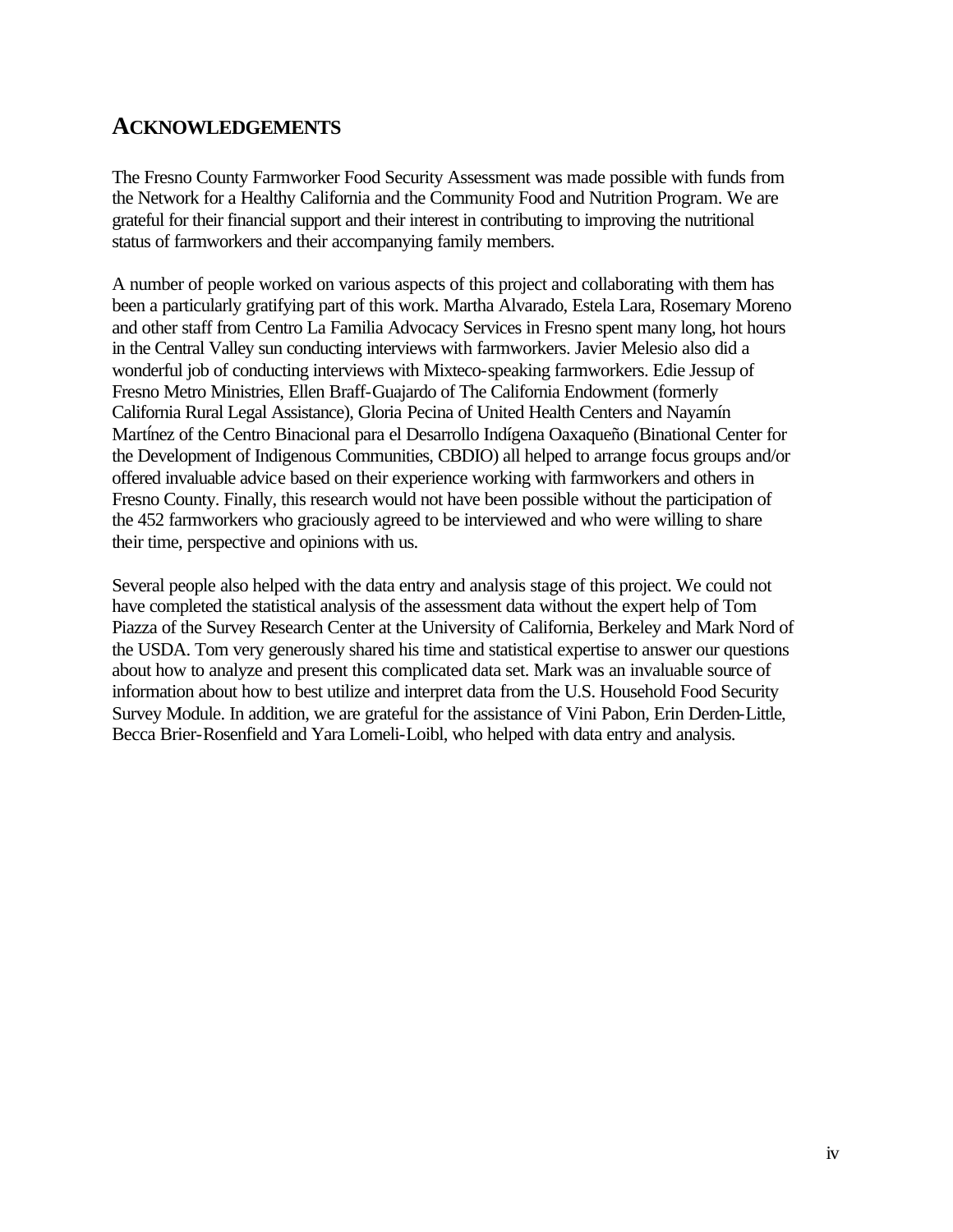### **ACKNOWLEDGEMENTS**

The Fresno County Farmworker Food Security Assessment was made possible with funds from the Network for a Healthy California and the Community Food and Nutrition Program. We are grateful for their financial support and their interest in contributing to improving the nutritional status of farmworkers and their accompanying family members.

A number of people worked on various aspects of this project and collaborating with them has been a particularly gratifying part of this work. Martha Alvarado, Estela Lara, Rosemary Moreno and other staff from Centro La Familia Advocacy Services in Fresno spent many long, hot hours in the Central Valley sun conducting interviews with farmworkers. Javier Melesio also did a wonderful job of conducting interviews with Mixteco-speaking farmworkers. Edie Jessup of Fresno Metro Ministries, Ellen Braff-Guajardo of The California Endowment (formerly California Rural Legal Assistance), Gloria Pecina of United Health Centers and Nayamín Martínez of the Centro Binacional para el Desarrollo Indígena Oaxaqueño (Binational Center for the Development of Indigenous Communities, CBDIO) all helped to arrange focus groups and/or offered invaluable advice based on their experience working with farmworkers and others in Fresno County. Finally, this research would not have been possible without the participation of the 452 farmworkers who graciously agreed to be interviewed and who were willing to share their time, perspective and opinions with us.

Several people also helped with the data entry and analysis stage of this project. We could not have completed the statistical analysis of the assessment data without the expert help of Tom Piazza of the Survey Research Center at the University of California, Berkeley and Mark Nord of the USDA. Tom very generously shared his time and statistical expertise to answer our questions about how to analyze and present this complicated data set. Mark was an invaluable source of information about how to best utilize and interpret data from the U.S. Household Food Security Survey Module. In addition, we are grateful for the assistance of Vini Pabon, Erin Derden-Little, Becca Brier-Rosenfield and Yara Lomeli-Loibl, who helped with data entry and analysis.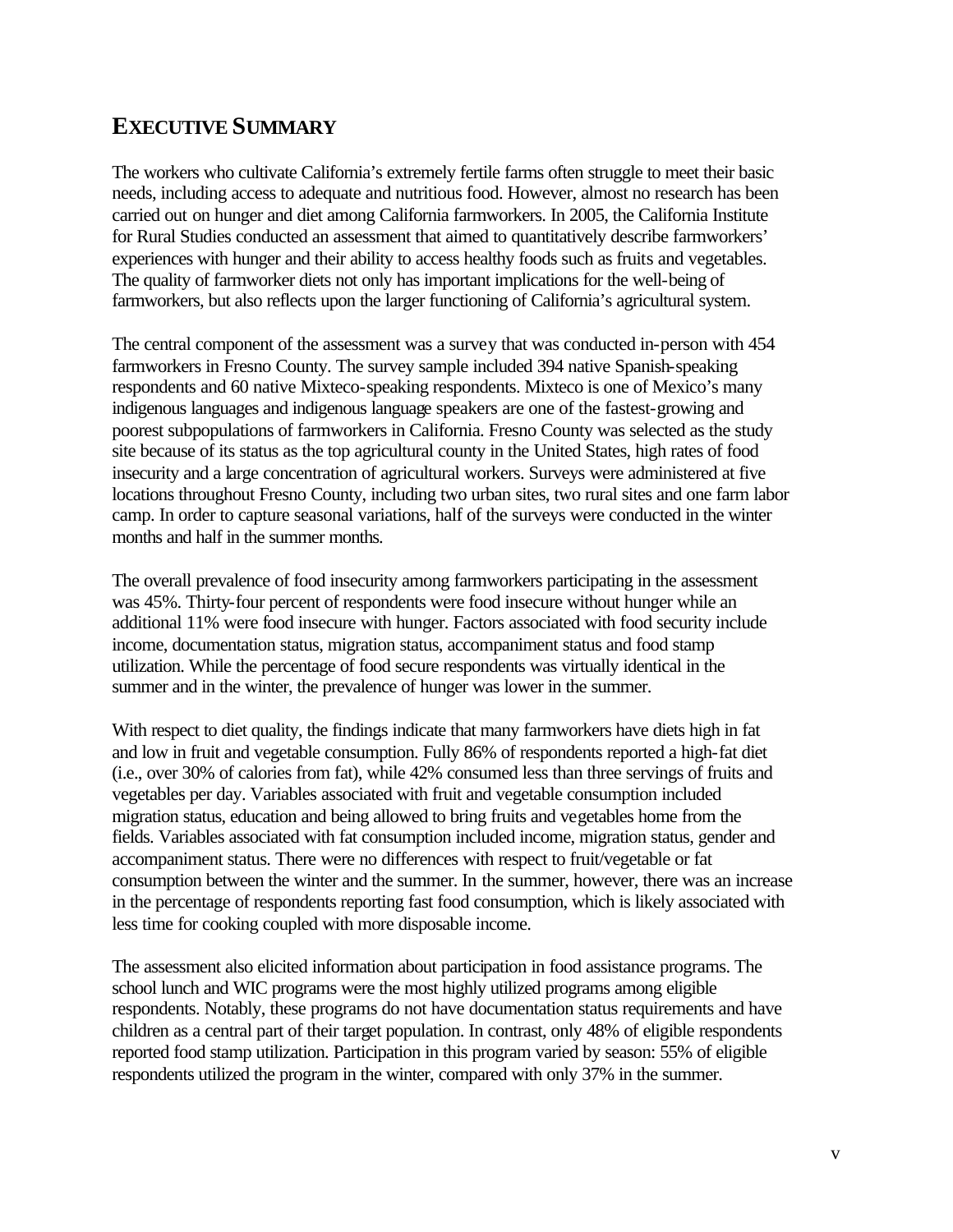## **EXECUTIVE SUMMARY**

The workers who cultivate California's extremely fertile farms often struggle to meet their basic needs, including access to adequate and nutritious food. However, almost no research has been carried out on hunger and diet among California farmworkers. In 2005, the California Institute for Rural Studies conducted an assessment that aimed to quantitatively describe farmworkers' experiences with hunger and their ability to access healthy foods such as fruits and vegetables. The quality of farmworker diets not only has important implications for the well-being of farmworkers, but also reflects upon the larger functioning of California's agricultural system.

The central component of the assessment was a survey that was conducted in-person with 454 farmworkers in Fresno County. The survey sample included 394 native Spanish-speaking respondents and 60 native Mixteco-speaking respondents. Mixteco is one of Mexico's many indigenous languages and indigenous language speakers are one of the fastest-growing and poorest subpopulations of farmworkers in California. Fresno County was selected as the study site because of its status as the top agricultural county in the United States, high rates of food insecurity and a large concentration of agricultural workers. Surveys were administered at five locations throughout Fresno County, including two urban sites, two rural sites and one farm labor camp. In order to capture seasonal variations, half of the surveys were conducted in the winter months and half in the summer months.

The overall prevalence of food insecurity among farmworkers participating in the assessment was 45%. Thirty-four percent of respondents were food insecure without hunger while an additional 11% were food insecure with hunger. Factors associated with food security include income, documentation status, migration status, accompaniment status and food stamp utilization. While the percentage of food secure respondents was virtually identical in the summer and in the winter, the prevalence of hunger was lower in the summer.

With respect to diet quality, the findings indicate that many farmworkers have diets high in fat and low in fruit and vegetable consumption. Fully 86% of respondents reported a high-fat diet (i.e., over 30% of calories from fat), while 42% consumed less than three servings of fruits and vegetables per day. Variables associated with fruit and vegetable consumption included migration status, education and being allowed to bring fruits and vegetables home from the fields. Variables associated with fat consumption included income, migration status, gender and accompaniment status. There were no differences with respect to fruit/vegetable or fat consumption between the winter and the summer. In the summer, however, there was an increase in the percentage of respondents reporting fast food consumption, which is likely associated with less time for cooking coupled with more disposable income.

The assessment also elicited information about participation in food assistance programs. The school lunch and WIC programs were the most highly utilized programs among eligible respondents. Notably, these programs do not have documentation status requirements and have children as a central part of their target population. In contrast, only 48% of eligible respondents reported food stamp utilization. Participation in this program varied by season: 55% of eligible respondents utilized the program in the winter, compared with only 37% in the summer.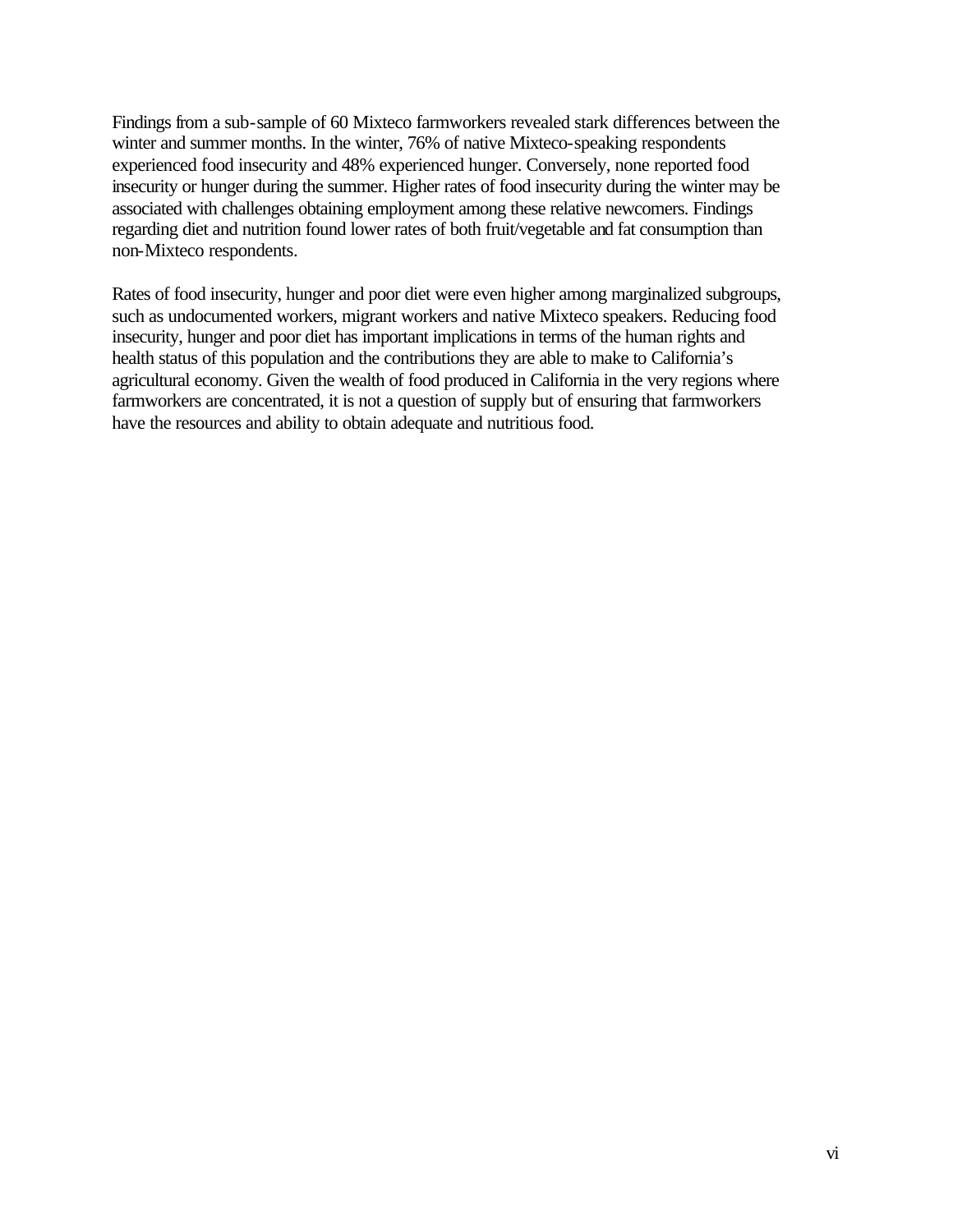Findings from a sub-sample of 60 Mixteco farmworkers revealed stark differences between the winter and summer months. In the winter, 76% of native Mixteco-speaking respondents experienced food insecurity and 48% experienced hunger. Conversely, none reported food insecurity or hunger during the summer. Higher rates of food insecurity during the winter may be associated with challenges obtaining employment among these relative newcomers. Findings regarding diet and nutrition found lower rates of both fruit/vegetable and fat consumption than non-Mixteco respondents.

Rates of food insecurity, hunger and poor diet were even higher among marginalized subgroups, such as undocumented workers, migrant workers and native Mixteco speakers. Reducing food insecurity, hunger and poor diet has important implications in terms of the human rights and health status of this population and the contributions they are able to make to California's agricultural economy. Given the wealth of food produced in California in the very regions where farmworkers are concentrated, it is not a question of supply but of ensuring that farmworkers have the resources and ability to obtain adequate and nutritious food.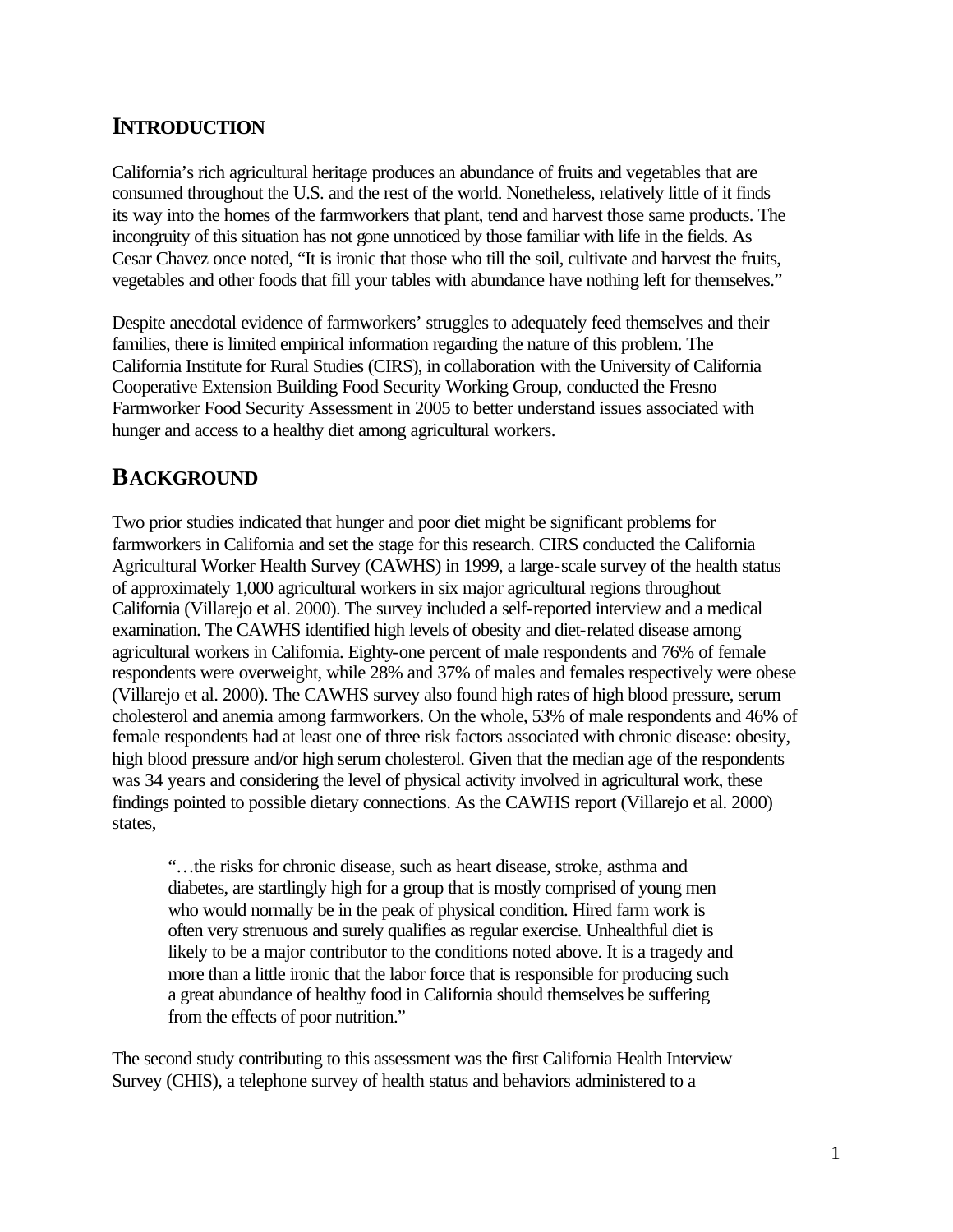## **INTRODUCTION**

California's rich agricultural heritage produces an abundance of fruits and vegetables that are consumed throughout the U.S. and the rest of the world. Nonetheless, relatively little of it finds its way into the homes of the farmworkers that plant, tend and harvest those same products. The incongruity of this situation has not gone unnoticed by those familiar with life in the fields. As Cesar Chavez once noted, "It is ironic that those who till the soil, cultivate and harvest the fruits, vegetables and other foods that fill your tables with abundance have nothing left for themselves."

Despite anecdotal evidence of farmworkers' struggles to adequately feed themselves and their families, there is limited empirical information regarding the nature of this problem. The California Institute for Rural Studies (CIRS), in collaboration with the University of California Cooperative Extension Building Food Security Working Group, conducted the Fresno Farmworker Food Security Assessment in 2005 to better understand issues associated with hunger and access to a healthy diet among agricultural workers.

## **BACKGROUND**

Two prior studies indicated that hunger and poor diet might be significant problems for farmworkers in California and set the stage for this research. CIRS conducted the California Agricultural Worker Health Survey (CAWHS) in 1999, a large-scale survey of the health status of approximately 1,000 agricultural workers in six major agricultural regions throughout California (Villarejo et al. 2000). The survey included a self-reported interview and a medical examination. The CAWHS identified high levels of obesity and diet-related disease among agricultural workers in California. Eighty-one percent of male respondents and 76% of female respondents were overweight, while 28% and 37% of males and females respectively were obese (Villarejo et al. 2000). The CAWHS survey also found high rates of high blood pressure, serum cholesterol and anemia among farmworkers. On the whole, 53% of male respondents and 46% of female respondents had at least one of three risk factors associated with chronic disease: obesity, high blood pressure and/or high serum cholesterol. Given that the median age of the respondents was 34 years and considering the level of physical activity involved in agricultural work, these findings pointed to possible dietary connections. As the CAWHS report (Villarejo et al. 2000) states,

"…the risks for chronic disease, such as heart disease, stroke, asthma and diabetes, are startlingly high for a group that is mostly comprised of young men who would normally be in the peak of physical condition. Hired farm work is often very strenuous and surely qualifies as regular exercise. Unhealthful diet is likely to be a major contributor to the conditions noted above. It is a tragedy and more than a little ironic that the labor force that is responsible for producing such a great abundance of healthy food in California should themselves be suffering from the effects of poor nutrition."

The second study contributing to this assessment was the first California Health Interview Survey (CHIS), a telephone survey of health status and behaviors administered to a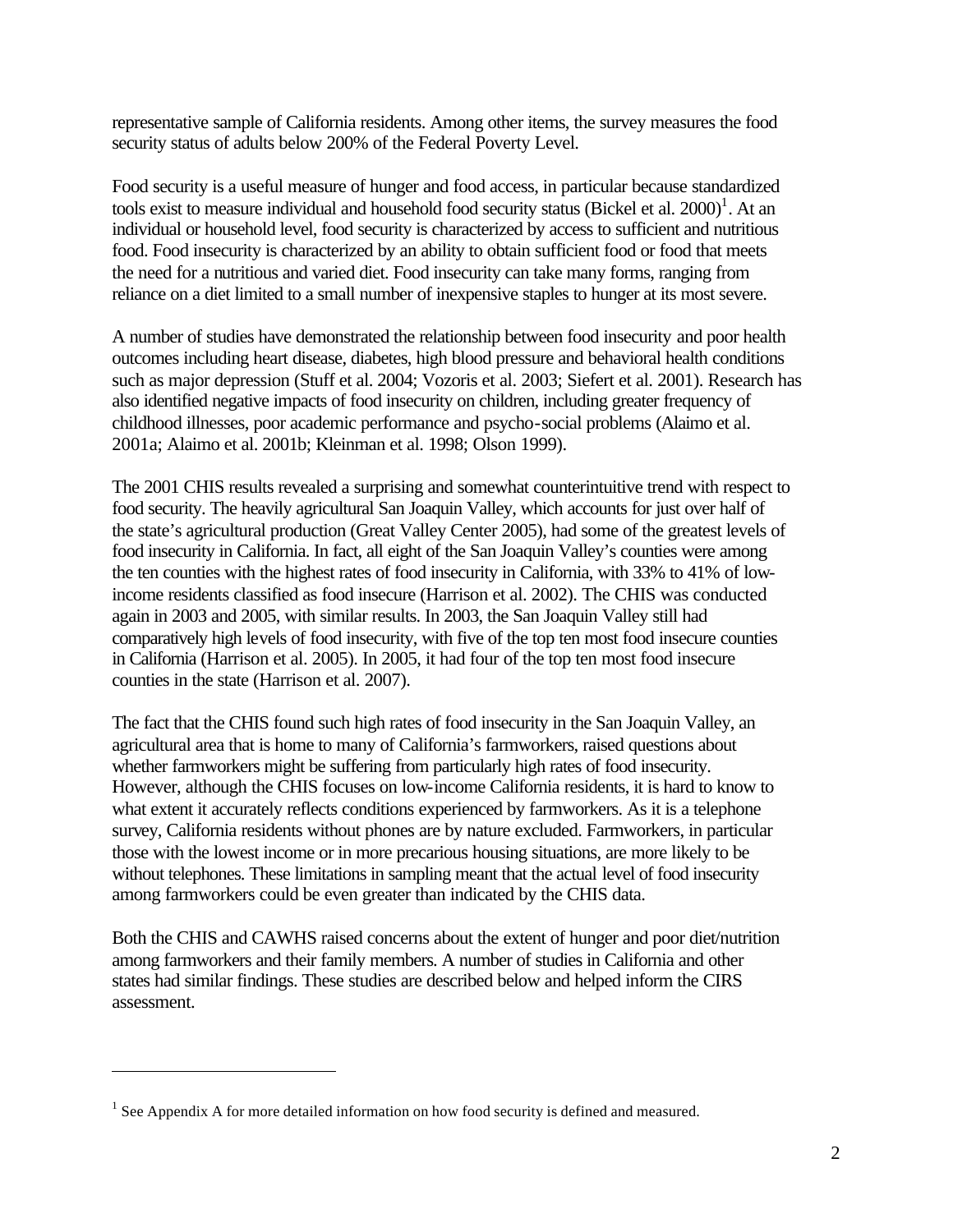representative sample of California residents. Among other items, the survey measures the food security status of adults below 200% of the Federal Poverty Level.

Food security is a useful measure of hunger and food access, in particular because standardized tools exist to measure individual and household food security status (Bickel et al.  $2000$ )<sup>1</sup>. At an individual or household level, food security is characterized by access to sufficient and nutritious food. Food insecurity is characterized by an ability to obtain sufficient food or food that meets the need for a nutritious and varied diet. Food insecurity can take many forms, ranging from reliance on a diet limited to a small number of inexpensive staples to hunger at its most severe.

A number of studies have demonstrated the relationship between food insecurity and poor health outcomes including heart disease, diabetes, high blood pressure and behavioral health conditions such as major depression (Stuff et al. 2004; Vozoris et al. 2003; Siefert et al. 2001). Research has also identified negative impacts of food insecurity on children, including greater frequency of childhood illnesses, poor academic performance and psycho-social problems (Alaimo et al. 2001a; Alaimo et al. 2001b; Kleinman et al. 1998; Olson 1999).

The 2001 CHIS results revealed a surprising and somewhat counterintuitive trend with respect to food security. The heavily agricultural San Joaquin Valley, which accounts for just over half of the state's agricultural production (Great Valley Center 2005), had some of the greatest levels of food insecurity in California. In fact, all eight of the San Joaquin Valley's counties were among the ten counties with the highest rates of food insecurity in California, with 33% to 41% of lowincome residents classified as food insecure (Harrison et al. 2002). The CHIS was conducted again in 2003 and 2005, with similar results. In 2003, the San Joaquin Valley still had comparatively high levels of food insecurity, with five of the top ten most food insecure counties in California (Harrison et al. 2005). In 2005, it had four of the top ten most food insecure counties in the state (Harrison et al. 2007).

The fact that the CHIS found such high rates of food insecurity in the San Joaquin Valley, an agricultural area that is home to many of California's farmworkers, raised questions about whether farmworkers might be suffering from particularly high rates of food insecurity. However, although the CHIS focuses on low-income California residents, it is hard to know to what extent it accurately reflects conditions experienced by farmworkers. As it is a telephone survey, California residents without phones are by nature excluded. Farmworkers, in particular those with the lowest income or in more precarious housing situations, are more likely to be without telephones. These limitations in sampling meant that the actual level of food insecurity among farmworkers could be even greater than indicated by the CHIS data.

Both the CHIS and CAWHS raised concerns about the extent of hunger and poor diet/nutrition among farmworkers and their family members. A number of studies in California and other states had similar findings. These studies are described below and helped inform the CIRS assessment.

 $\overline{a}$ 

 $<sup>1</sup>$  See Appendix A for more detailed information on how food security is defined and measured.</sup>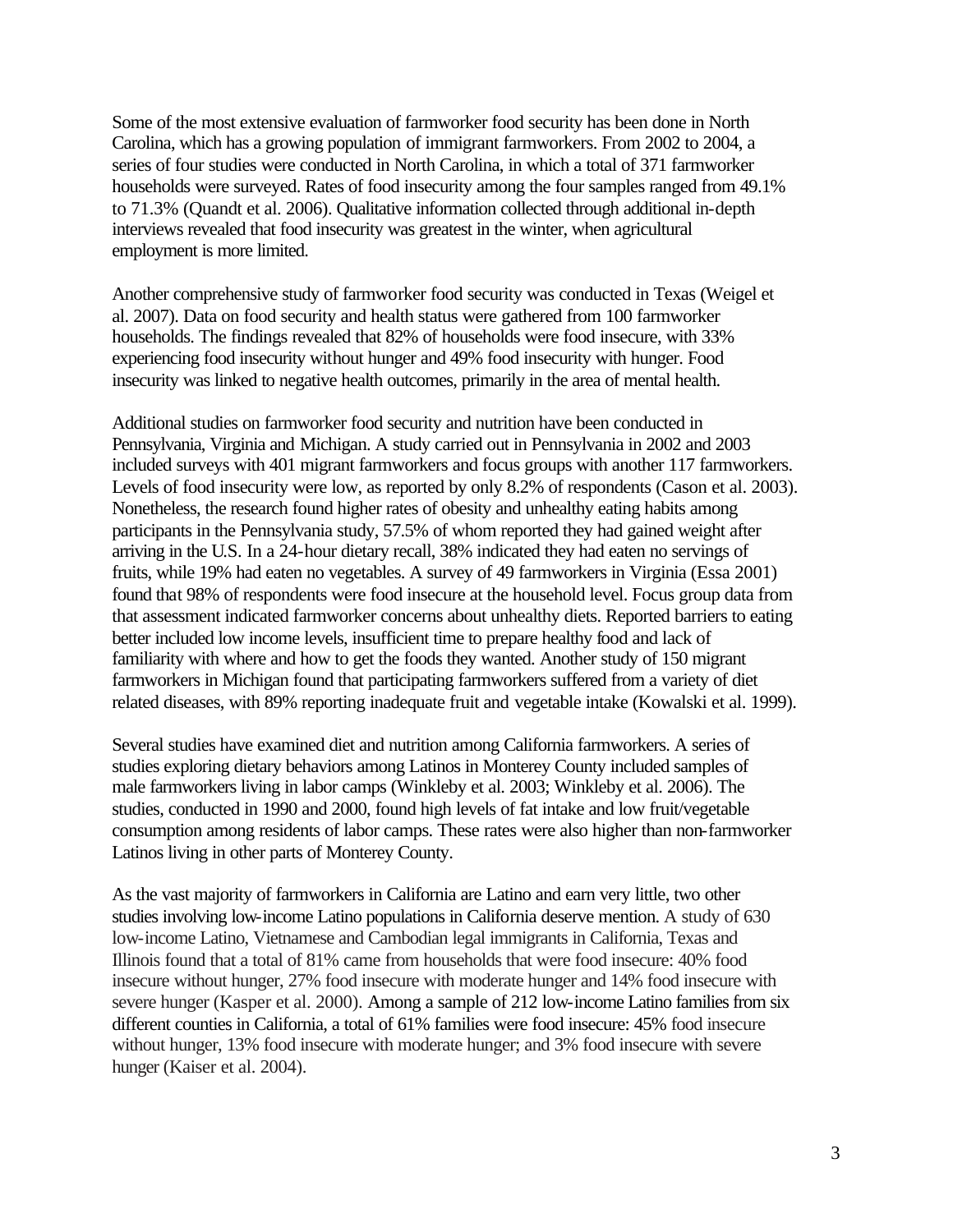Some of the most extensive evaluation of farmworker food security has been done in North Carolina, which has a growing population of immigrant farmworkers. From 2002 to 2004, a series of four studies were conducted in North Carolina, in which a total of 371 farmworker households were surveyed. Rates of food insecurity among the four samples ranged from 49.1% to 71.3% (Quandt et al. 2006). Qualitative information collected through additional in-depth interviews revealed that food insecurity was greatest in the winter, when agricultural employment is more limited.

Another comprehensive study of farmworker food security was conducted in Texas (Weigel et al. 2007). Data on food security and health status were gathered from 100 farmworker households. The findings revealed that 82% of households were food insecure, with 33% experiencing food insecurity without hunger and 49% food insecurity with hunger. Food insecurity was linked to negative health outcomes, primarily in the area of mental health.

Additional studies on farmworker food security and nutrition have been conducted in Pennsylvania, Virginia and Michigan. A study carried out in Pennsylvania in 2002 and 2003 included surveys with 401 migrant farmworkers and focus groups with another 117 farmworkers. Levels of food insecurity were low, as reported by only 8.2% of respondents (Cason et al. 2003). Nonetheless, the research found higher rates of obesity and unhealthy eating habits among participants in the Pennsylvania study, 57.5% of whom reported they had gained weight after arriving in the U.S. In a 24-hour dietary recall, 38% indicated they had eaten no servings of fruits, while 19% had eaten no vegetables. A survey of 49 farmworkers in Virginia (Essa 2001) found that 98% of respondents were food insecure at the household level. Focus group data from that assessment indicated farmworker concerns about unhealthy diets. Reported barriers to eating better included low income levels, insufficient time to prepare healthy food and lack of familiarity with where and how to get the foods they wanted. Another study of 150 migrant farmworkers in Michigan found that participating farmworkers suffered from a variety of diet related diseases, with 89% reporting inadequate fruit and vegetable intake (Kowalski et al. 1999).

Several studies have examined diet and nutrition among California farmworkers. A series of studies exploring dietary behaviors among Latinos in Monterey County included samples of male farmworkers living in labor camps (Winkleby et al. 2003; Winkleby et al. 2006). The studies, conducted in 1990 and 2000, found high levels of fat intake and low fruit/vegetable consumption among residents of labor camps. These rates were also higher than non-farmworker Latinos living in other parts of Monterey County.

As the vast majority of farmworkers in California are Latino and earn very little, two other studies involving low-income Latino populations in California deserve mention. A study of 630 low-income Latino, Vietnamese and Cambodian legal immigrants in California, Texas and Illinois found that a total of 81% came from households that were food insecure: 40% food insecure without hunger, 27% food insecure with moderate hunger and 14% food insecure with severe hunger (Kasper et al. 2000). Among a sample of 212 low-income Latino families from six different counties in California, a total of 61% families were food insecure: 45% food insecure without hunger, 13% food insecure with moderate hunger; and 3% food insecure with severe hunger (Kaiser et al. 2004).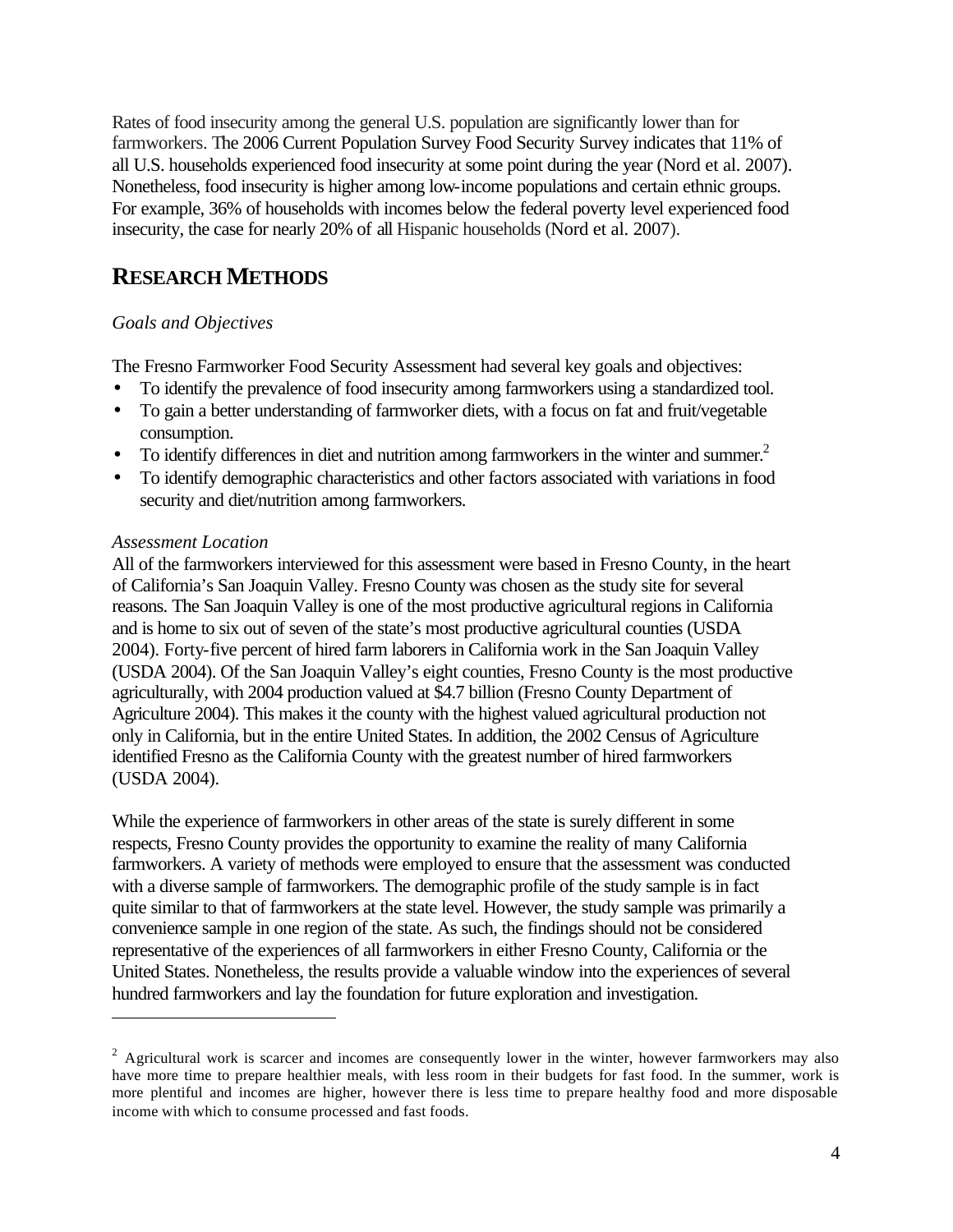Rates of food insecurity among the general U.S. population are significantly lower than for farmworkers. The 2006 Current Population Survey Food Security Survey indicates that 11% of all U.S. households experienced food insecurity at some point during the year (Nord et al. 2007). Nonetheless, food insecurity is higher among low-income populations and certain ethnic groups. For example, 36% of households with incomes below the federal poverty level experienced food insecurity, the case for nearly 20% of all Hispanic households (Nord et al. 2007).

## **RESEARCH METHODS**

#### *Goals and Objectives*

The Fresno Farmworker Food Security Assessment had several key goals and objectives:

- To identify the prevalence of food insecurity among farmworkers using a standardized tool.
- To gain a better understanding of farmworker diets, with a focus on fat and fruit/vegetable consumption.
- To identify differences in diet and nutrition among farmworkers in the winter and summer.<sup>2</sup>
- To identify demographic characteristics and other factors associated with variations in food security and diet/nutrition among farmworkers.

#### *Assessment Location*

 $\overline{a}$ 

All of the farmworkers interviewed for this assessment were based in Fresno County, in the heart of California's San Joaquin Valley. Fresno County was chosen as the study site for several reasons. The San Joaquin Valley is one of the most productive agricultural regions in California and is home to six out of seven of the state's most productive agricultural counties (USDA 2004). Forty-five percent of hired farm laborers in California work in the San Joaquin Valley (USDA 2004). Of the San Joaquin Valley's eight counties, Fresno County is the most productive agriculturally, with 2004 production valued at \$4.7 billion (Fresno County Department of Agriculture 2004). This makes it the county with the highest valued agricultural production not only in California, but in the entire United States. In addition, the 2002 Census of Agriculture identified Fresno as the California County with the greatest number of hired farmworkers (USDA 2004).

While the experience of farmworkers in other areas of the state is surely different in some respects, Fresno County provides the opportunity to examine the reality of many California farmworkers. A variety of methods were employed to ensure that the assessment was conducted with a diverse sample of farmworkers. The demographic profile of the study sample is in fact quite similar to that of farmworkers at the state level. However, the study sample was primarily a convenience sample in one region of the state. As such, the findings should not be considered representative of the experiences of all farmworkers in either Fresno County, California or the United States. Nonetheless, the results provide a valuable window into the experiences of several hundred farmworkers and lay the foundation for future exploration and investigation.

 $2$  Agricultural work is scarcer and incomes are consequently lower in the winter, however farmworkers may also have more time to prepare healthier meals, with less room in their budgets for fast food. In the summer, work is more plentiful and incomes are higher, however there is less time to prepare healthy food and more disposable income with which to consume processed and fast foods.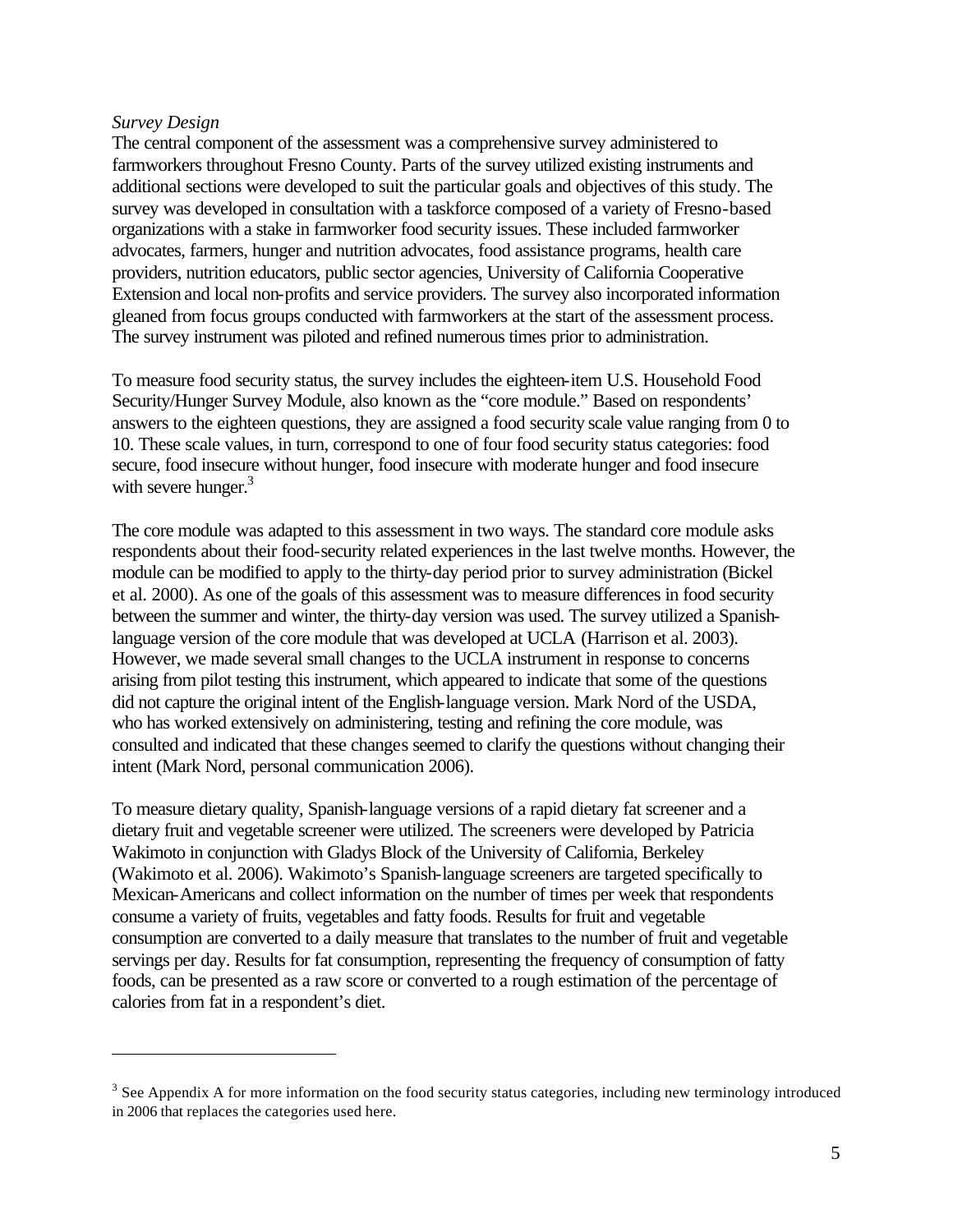#### *Survey Design*

 $\overline{a}$ 

The central component of the assessment was a comprehensive survey administered to farmworkers throughout Fresno County. Parts of the survey utilized existing instruments and additional sections were developed to suit the particular goals and objectives of this study. The survey was developed in consultation with a taskforce composed of a variety of Fresno-based organizations with a stake in farmworker food security issues. These included farmworker advocates, farmers, hunger and nutrition advocates, food assistance programs, health care providers, nutrition educators, public sector agencies, University of California Cooperative Extension and local non-profits and service providers. The survey also incorporated information gleaned from focus groups conducted with farmworkers at the start of the assessment process. The survey instrument was piloted and refined numerous times prior to administration.

To measure food security status, the survey includes the eighteen-item U.S. Household Food Security/Hunger Survey Module, also known as the "core module." Based on respondents' answers to the eighteen questions, they are assigned a food security scale value ranging from 0 to 10. These scale values, in turn, correspond to one of four food security status categories: food secure, food insecure without hunger, food insecure with moderate hunger and food insecure with severe hunger. $3$ 

The core module was adapted to this assessment in two ways. The standard core module asks respondents about their food-security related experiences in the last twelve months. However, the module can be modified to apply to the thirty-day period prior to survey administration (Bickel et al. 2000). As one of the goals of this assessment was to measure differences in food security between the summer and winter, the thirty-day version was used. The survey utilized a Spanishlanguage version of the core module that was developed at UCLA (Harrison et al. 2003). However, we made several small changes to the UCLA instrument in response to concerns arising from pilot testing this instrument, which appeared to indicate that some of the questions did not capture the original intent of the English-language version. Mark Nord of the USDA, who has worked extensively on administering, testing and refining the core module, was consulted and indicated that these changes seemed to clarify the questions without changing their intent (Mark Nord, personal communication 2006).

To measure dietary quality, Spanish-language versions of a rapid dietary fat screener and a dietary fruit and vegetable screener were utilized. The screeners were developed by Patricia Wakimoto in conjunction with Gladys Block of the University of California, Berkeley (Wakimoto et al. 2006). Wakimoto's Spanish-language screeners are targeted specifically to Mexican-Americans and collect information on the number of times per week that respondents consume a variety of fruits, vegetables and fatty foods. Results for fruit and vegetable consumption are converted to a daily measure that translates to the number of fruit and vegetable servings per day. Results for fat consumption, representing the frequency of consumption of fatty foods, can be presented as a raw score or converted to a rough estimation of the percentage of calories from fat in a respondent's diet.

 $3$  See Appendix A for more information on the food security status categories, including new terminology introduced in 2006 that replaces the categories used here.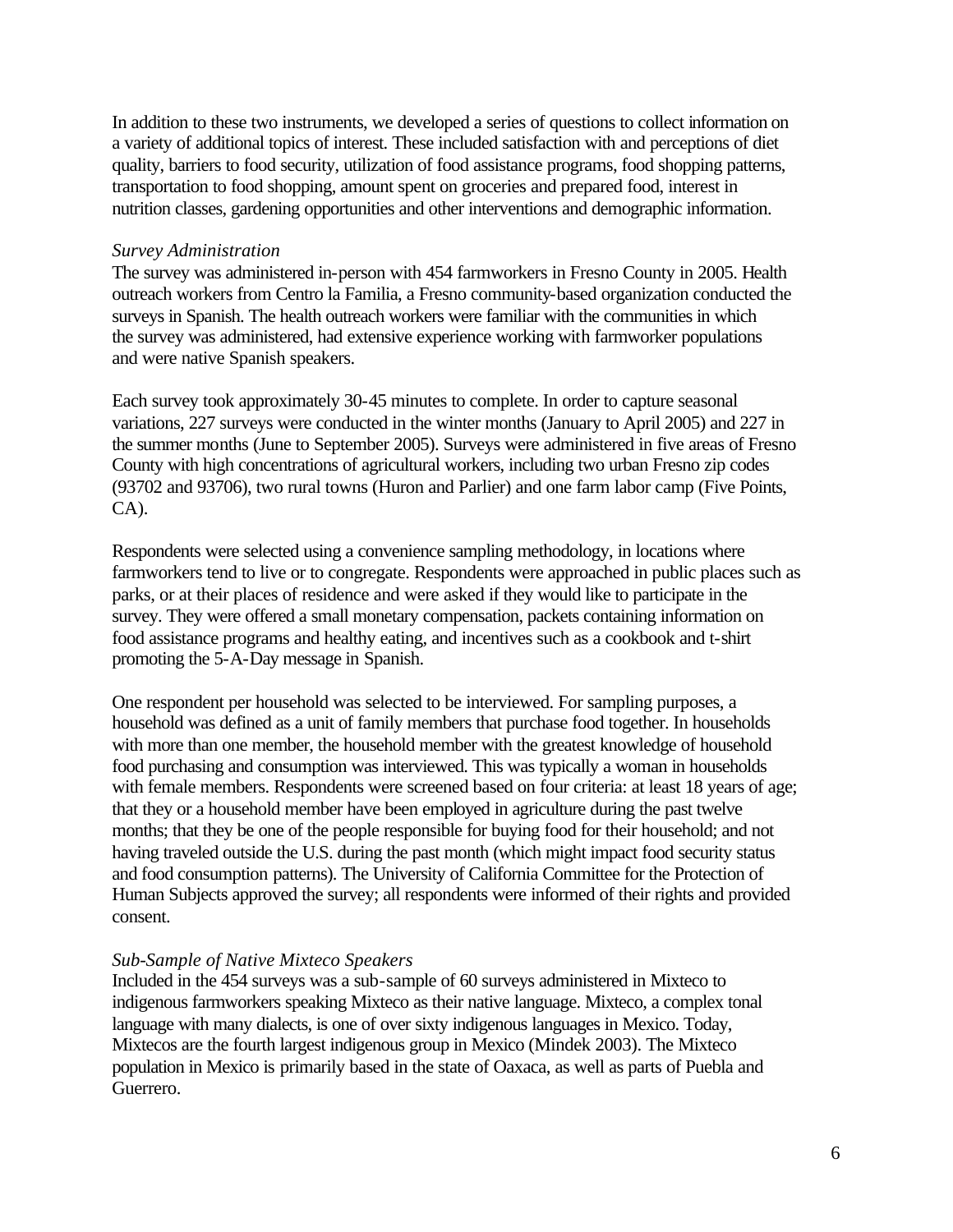In addition to these two instruments, we developed a series of questions to collect information on a variety of additional topics of interest. These included satisfaction with and perceptions of diet quality, barriers to food security, utilization of food assistance programs, food shopping patterns, transportation to food shopping, amount spent on groceries and prepared food, interest in nutrition classes, gardening opportunities and other interventions and demographic information.

#### *Survey Administration*

The survey was administered in-person with 454 farmworkers in Fresno County in 2005. Health outreach workers from Centro la Familia, a Fresno community-based organization conducted the surveys in Spanish. The health outreach workers were familiar with the communities in which the survey was administered, had extensive experience working with farmworker populations and were native Spanish speakers.

Each survey took approximately 30-45 minutes to complete. In order to capture seasonal variations, 227 surveys were conducted in the winter months (January to April 2005) and 227 in the summer months (June to September 2005). Surveys were administered in five areas of Fresno County with high concentrations of agricultural workers, including two urban Fresno zip codes (93702 and 93706), two rural towns (Huron and Parlier) and one farm labor camp (Five Points, CA).

Respondents were selected using a convenience sampling methodology, in locations where farmworkers tend to live or to congregate. Respondents were approached in public places such as parks, or at their places of residence and were asked if they would like to participate in the survey. They were offered a small monetary compensation, packets containing information on food assistance programs and healthy eating, and incentives such as a cookbook and t-shirt promoting the 5-A-Day message in Spanish.

One respondent per household was selected to be interviewed. For sampling purposes, a household was defined as a unit of family members that purchase food together. In households with more than one member, the household member with the greatest knowledge of household food purchasing and consumption was interviewed. This was typically a woman in households with female members. Respondents were screened based on four criteria: at least 18 years of age; that they or a household member have been employed in agriculture during the past twelve months; that they be one of the people responsible for buying food for their household; and not having traveled outside the U.S. during the past month (which might impact food security status and food consumption patterns). The University of California Committee for the Protection of Human Subjects approved the survey; all respondents were informed of their rights and provided consent.

#### *Sub-Sample of Native Mixteco Speakers*

Included in the 454 surveys was a sub-sample of 60 surveys administered in Mixteco to indigenous farmworkers speaking Mixteco as their native language. Mixteco, a complex tonal language with many dialects, is one of over sixty indigenous languages in Mexico. Today, Mixtecos are the fourth largest indigenous group in Mexico (Mindek 2003). The Mixteco population in Mexico is primarily based in the state of Oaxaca, as well as parts of Puebla and Guerrero.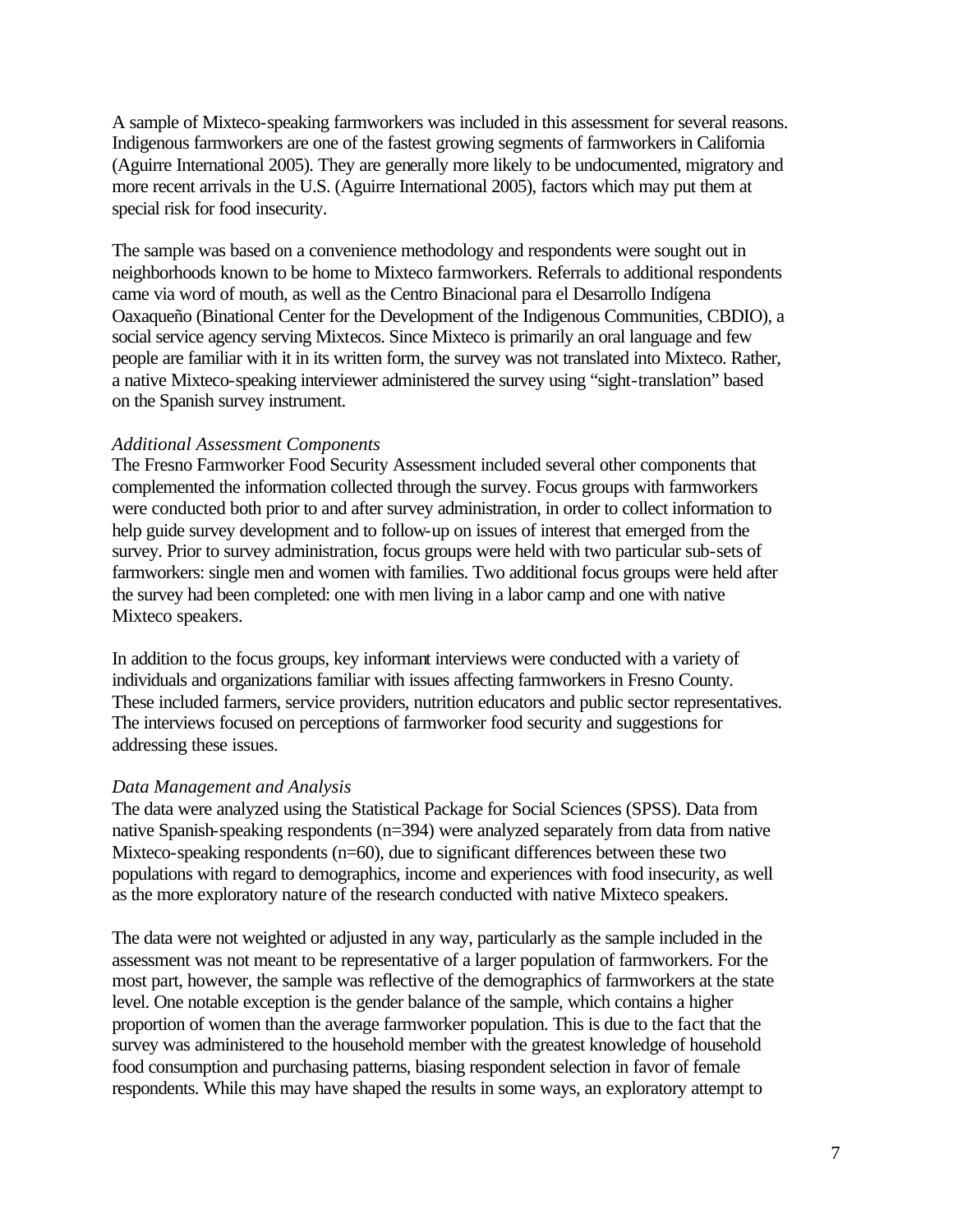A sample of Mixteco-speaking farmworkers was included in this assessment for several reasons. Indigenous farmworkers are one of the fastest growing segments of farmworkers in California (Aguirre International 2005). They are generally more likely to be undocumented, migratory and more recent arrivals in the U.S. (Aguirre International 2005), factors which may put them at special risk for food insecurity.

The sample was based on a convenience methodology and respondents were sought out in neighborhoods known to be home to Mixteco farmworkers. Referrals to additional respondents came via word of mouth, as well as the Centro Binacional para el Desarrollo Indígena Oaxaqueño (Binational Center for the Development of the Indigenous Communities, CBDIO), a social service agency serving Mixtecos. Since Mixteco is primarily an oral language and few people are familiar with it in its written form, the survey was not translated into Mixteco. Rather, a native Mixteco-speaking interviewer administered the survey using "sight-translation" based on the Spanish survey instrument.

#### *Additional Assessment Components*

The Fresno Farmworker Food Security Assessment included several other components that complemented the information collected through the survey. Focus groups with farmworkers were conducted both prior to and after survey administration, in order to collect information to help guide survey development and to follow-up on issues of interest that emerged from the survey. Prior to survey administration, focus groups were held with two particular sub-sets of farmworkers: single men and women with families. Two additional focus groups were held after the survey had been completed: one with men living in a labor camp and one with native Mixteco speakers.

In addition to the focus groups, key informant interviews were conducted with a variety of individuals and organizations familiar with issues affecting farmworkers in Fresno County. These included farmers, service providers, nutrition educators and public sector representatives. The interviews focused on perceptions of farmworker food security and suggestions for addressing these issues.

#### *Data Management and Analysis*

The data were analyzed using the Statistical Package for Social Sciences (SPSS). Data from native Spanish-speaking respondents (n=394) were analyzed separately from data from native Mixteco-speaking respondents (n=60), due to significant differences between these two populations with regard to demographics, income and experiences with food insecurity, as well as the more exploratory nature of the research conducted with native Mixteco speakers.

The data were not weighted or adjusted in any way, particularly as the sample included in the assessment was not meant to be representative of a larger population of farmworkers. For the most part, however, the sample was reflective of the demographics of farmworkers at the state level. One notable exception is the gender balance of the sample, which contains a higher proportion of women than the average farmworker population. This is due to the fact that the survey was administered to the household member with the greatest knowledge of household food consumption and purchasing patterns, biasing respondent selection in favor of female respondents. While this may have shaped the results in some ways, an exploratory attempt to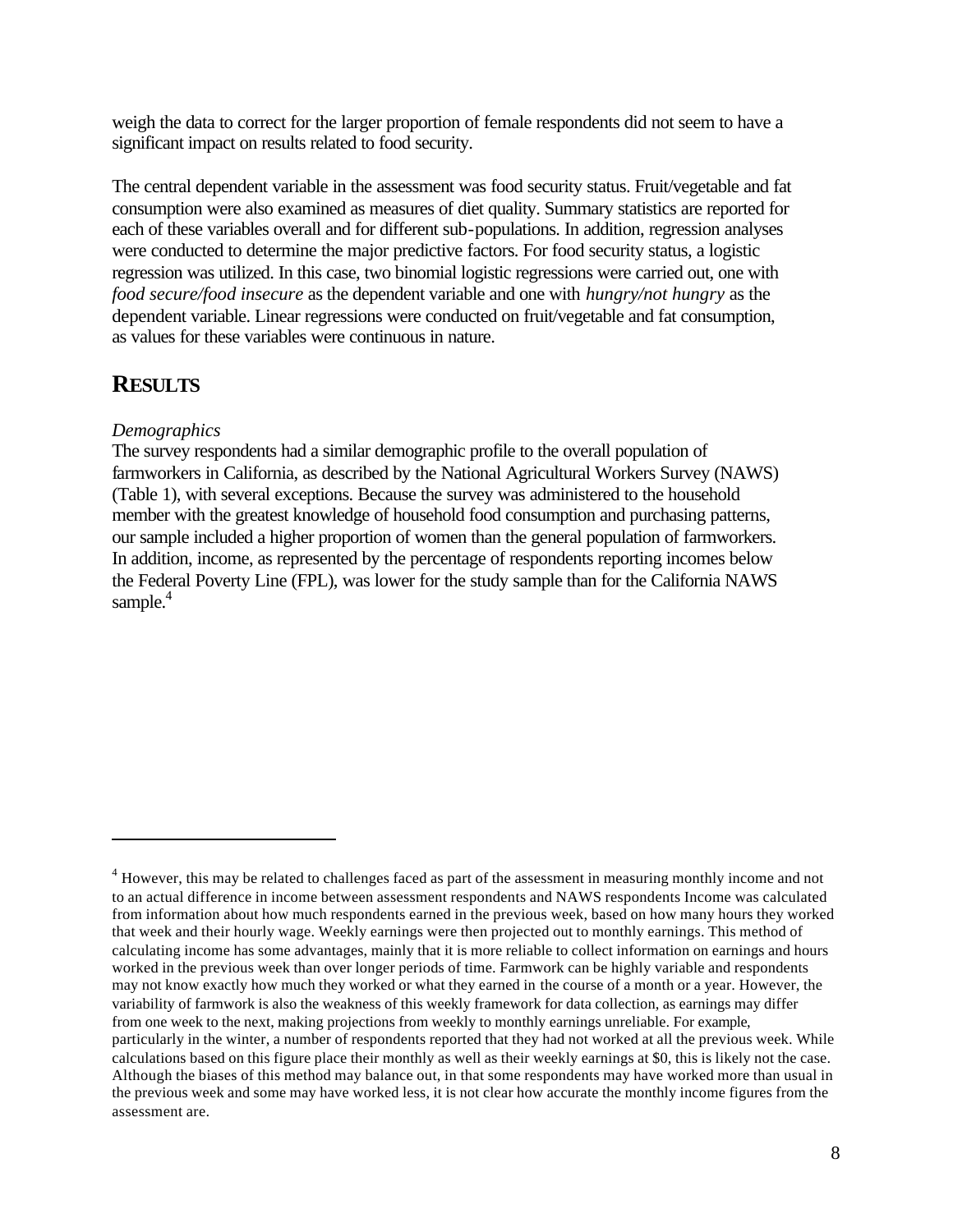weigh the data to correct for the larger proportion of female respondents did not seem to have a significant impact on results related to food security.

The central dependent variable in the assessment was food security status. Fruit/vegetable and fat consumption were also examined as measures of diet quality. Summary statistics are reported for each of these variables overall and for different sub-populations. In addition, regression analyses were conducted to determine the major predictive factors. For food security status, a logistic regression was utilized. In this case, two binomial logistic regressions were carried out, one with *food secure/food insecure* as the dependent variable and one with *hungry/not hungry* as the dependent variable. Linear regressions were conducted on fruit/vegetable and fat consumption, as values for these variables were continuous in nature.

## **RESULTS**

 $\overline{a}$ 

#### *Demographics*

The survey respondents had a similar demographic profile to the overall population of farmworkers in California, as described by the National Agricultural Workers Survey (NAWS) (Table 1), with several exceptions. Because the survey was administered to the household member with the greatest knowledge of household food consumption and purchasing patterns, our sample included a higher proportion of women than the general population of farmworkers. In addition, income, as represented by the percentage of respondents reporting incomes below the Federal Poverty Line (FPL), was lower for the study sample than for the California NAWS sample. $4$ 

<sup>&</sup>lt;sup>4</sup> However, this may be related to challenges faced as part of the assessment in measuring monthly income and not to an actual difference in income between assessment respondents and NAWS respondents Income was calculated from information about how much respondents earned in the previous week, based on how many hours they worked that week and their hourly wage. Weekly earnings were then projected out to monthly earnings. This method of calculating income has some advantages, mainly that it is more reliable to collect information on earnings and hours worked in the previous week than over longer periods of time. Farmwork can be highly variable and respondents may not know exactly how much they worked or what they earned in the course of a month or a year. However, the variability of farmwork is also the weakness of this weekly framework for data collection, as earnings may differ from one week to the next, making projections from weekly to monthly earnings unreliable. For example, particularly in the winter, a number of respondents reported that they had not worked at all the previous week. While calculations based on this figure place their monthly as well as their weekly earnings at \$0, this is likely not the case. Although the biases of this method may balance out, in that some respondents may have worked more than usual in the previous week and some may have worked less, it is not clear how accurate the monthly income figures from the assessment are.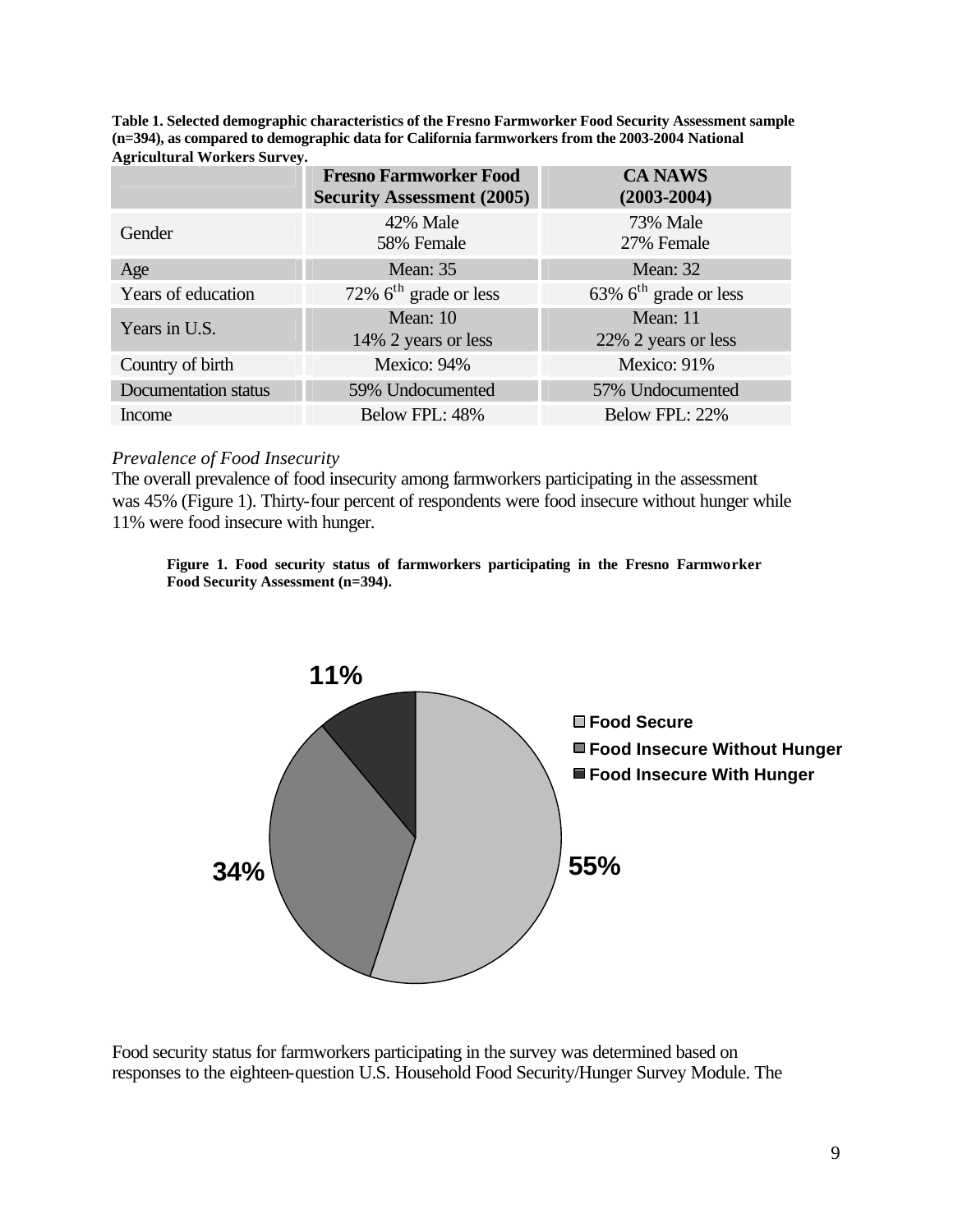**Table 1. Selected demographic characteristics of the Fresno Farmworker Food Security Assessment sample (n=394), as compared to demographic data for California farmworkers from the 2003-2004 National Agricultural Workers Survey.**

|                      | <b>Fresno Farmworker Food</b><br><b>Security Assessment (2005)</b> | <b>CA NAWS</b><br>$(2003 - 2004)$    |
|----------------------|--------------------------------------------------------------------|--------------------------------------|
| Gender               | 42% Male<br>58% Female                                             | 73% Male<br>27% Female               |
| Age                  | <b>Mean: 35</b>                                                    | Mean: 32                             |
| Years of education   | 72% $6th$ grade or less                                            | $63\%$ 6 <sup>th</sup> grade or less |
| Years in U.S.        | Mean: 10<br>14% 2 years or less                                    | Mean: 11<br>22% 2 years or less      |
| Country of birth     | Mexico: 94%                                                        | Mexico: 91%                          |
| Documentation status | 59% Undocumented                                                   | 57% Undocumented                     |
| Income               | Below FPL: 48%                                                     | Below FPL: 22%                       |

#### *Prevalence of Food Insecurity*

The overall prevalence of food insecurity among farmworkers participating in the assessment was 45% (Figure 1). Thirty-four percent of respondents were food insecure without hunger while 11% were food insecure with hunger.





Food security status for farmworkers participating in the survey was determined based on responses to the eighteen-question U.S. Household Food Security/Hunger Survey Module. The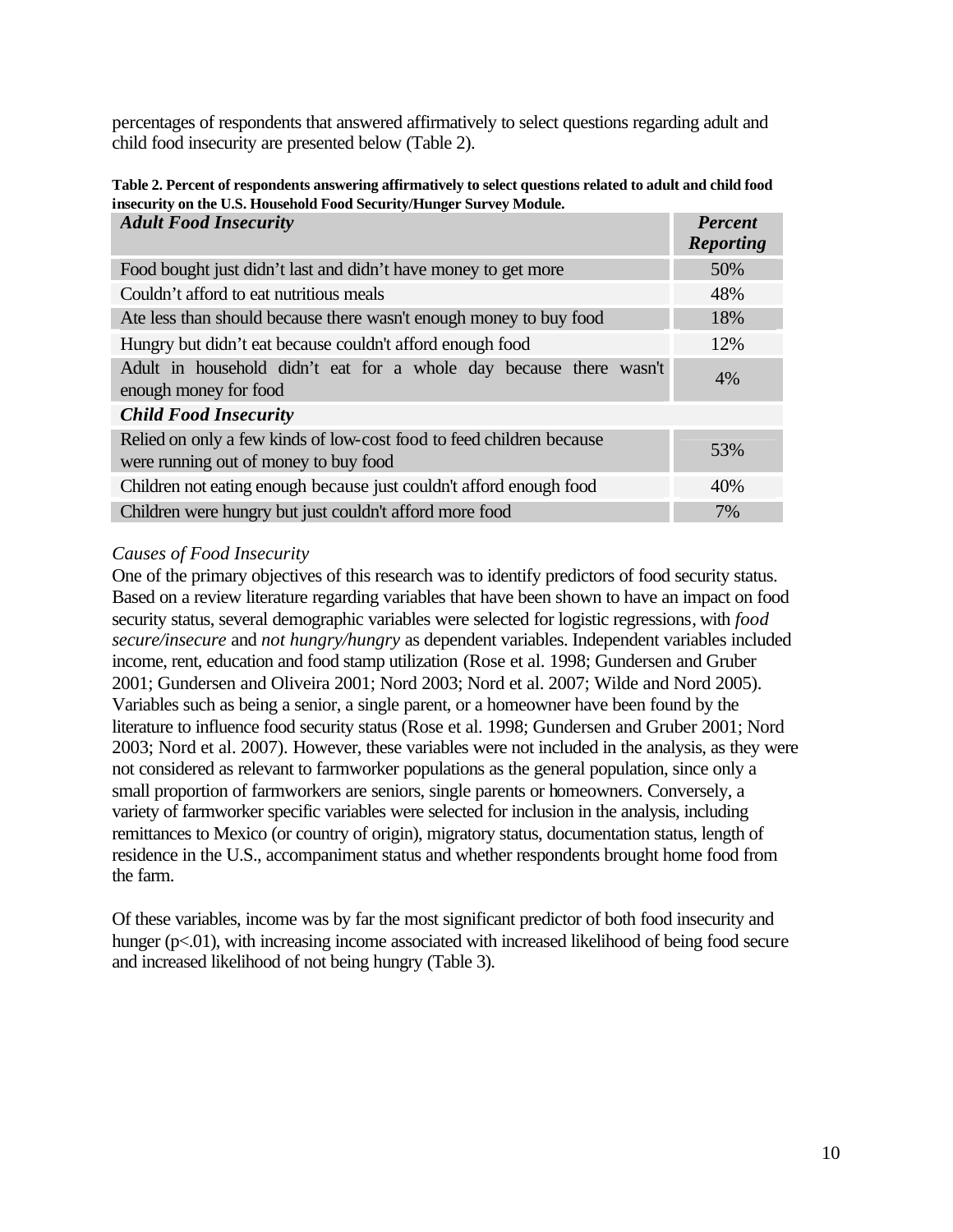percentages of respondents that answered affirmatively to select questions regarding adult and child food insecurity are presented below (Table 2).

| <b>Adult Food Insecurity</b>                                                                                  | <b>Percent</b><br><b>Reporting</b> |
|---------------------------------------------------------------------------------------------------------------|------------------------------------|
| Food bought just didn't last and didn't have money to get more                                                | 50%                                |
| Couldn't afford to eat nutritious meals                                                                       | 48%                                |
| Ate less than should because there wasn't enough money to buy food                                            | 18%                                |
| Hungry but didn't eat because couldn't afford enough food                                                     | 12%                                |
| Adult in household didn't eat for a whole day because there wasn't<br>enough money for food                   | 4%                                 |
| <b>Child Food Insecurity</b>                                                                                  |                                    |
| Relied on only a few kinds of low-cost food to feed children because<br>were running out of money to buy food | 53%                                |
| Children not eating enough because just couldn't afford enough food                                           | 40%                                |
| Children were hungry but just couldn't afford more food                                                       | 7%                                 |

**Table 2. Percent of respondents answering affirmatively to select questions related to adult and child food insecurity on the U.S. Household Food Security/Hunger Survey Module.**

#### *Causes of Food Insecurity*

One of the primary objectives of this research was to identify predictors of food security status. Based on a review literature regarding variables that have been shown to have an impact on food security status, several demographic variables were selected for logistic regressions, with *food secure/insecure* and *not hungry/hungry* as dependent variables. Independent variables included income, rent, education and food stamp utilization (Rose et al. 1998; Gundersen and Gruber 2001; Gundersen and Oliveira 2001; Nord 2003; Nord et al. 2007; Wilde and Nord 2005). Variables such as being a senior, a single parent, or a homeowner have been found by the literature to influence food security status (Rose et al. 1998; Gundersen and Gruber 2001; Nord 2003; Nord et al. 2007). However, these variables were not included in the analysis, as they were not considered as relevant to farmworker populations as the general population, since only a small proportion of farmworkers are seniors, single parents or homeowners. Conversely, a variety of farmworker specific variables were selected for inclusion in the analysis, including remittances to Mexico (or country of origin), migratory status, documentation status, length of residence in the U.S., accompaniment status and whether respondents brought home food from the farm.

Of these variables, income was by far the most significant predictor of both food insecurity and hunger (p<.01), with increasing income associated with increased likelihood of being food secure and increased likelihood of not being hungry (Table 3).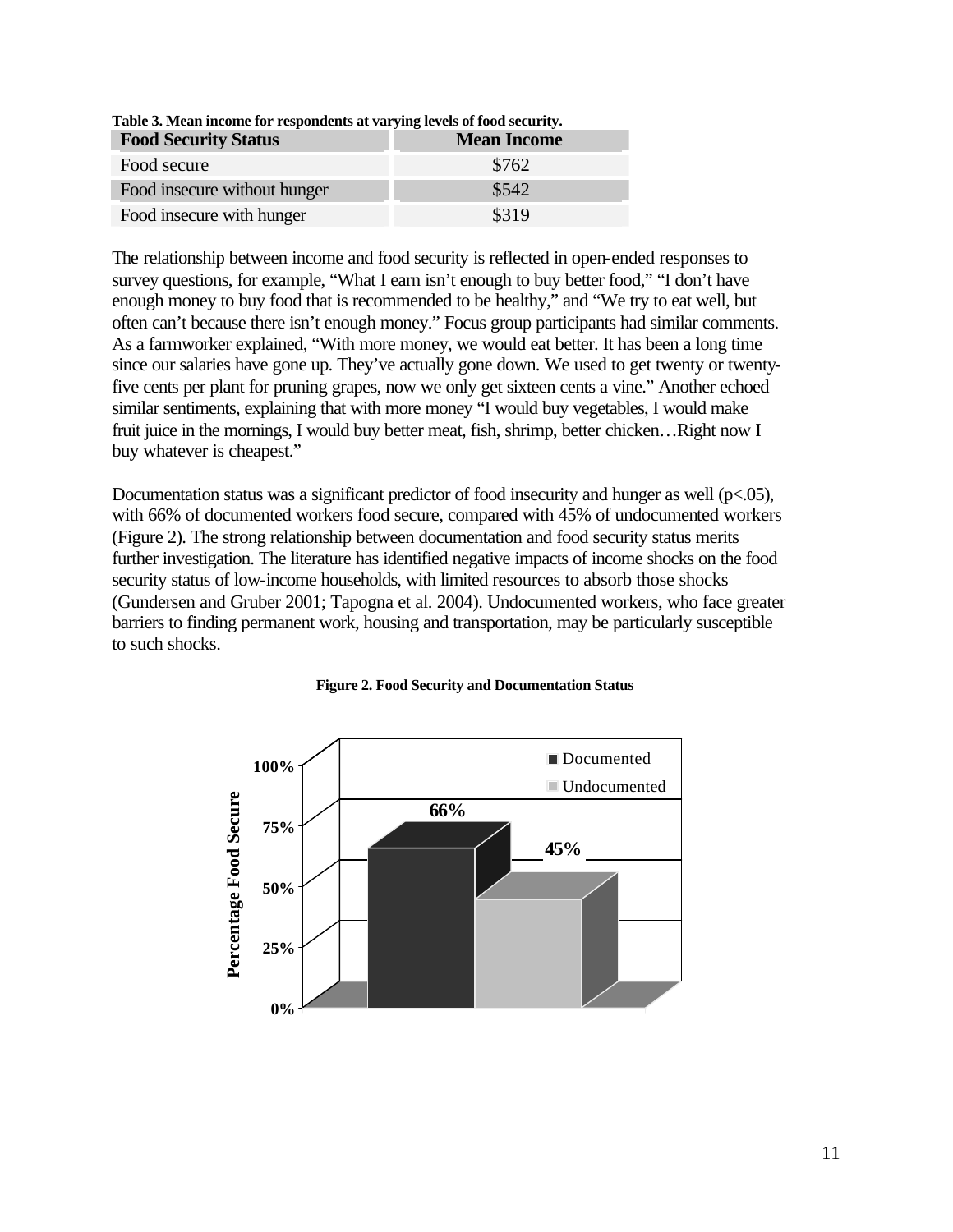| Tuble of Havan moonie for Tespondents at Tarying tevels of food security.<br><b>Food Security Status</b> | <b>Mean Income</b> |
|----------------------------------------------------------------------------------------------------------|--------------------|
| Food secure                                                                                              | \$762              |
| Food insecure without hunger                                                                             | \$542              |
| Food insecure with hunger                                                                                | \$319              |

**Table 3. Mean income for respondents at varying levels of food security.**

The relationship between income and food security is reflected in open-ended responses to survey questions, for example, "What I earn isn't enough to buy better food," "I don't have enough money to buy food that is recommended to be healthy," and "We try to eat well, but often can't because there isn't enough money." Focus group participants had similar comments. As a farmworker explained, "With more money, we would eat better. It has been a long time since our salaries have gone up. They've actually gone down. We used to get twenty or twentyfive cents per plant for pruning grapes, now we only get sixteen cents a vine." Another echoed similar sentiments, explaining that with more money "I would buy vegetables, I would make fruit juice in the mornings, I would buy better meat, fish, shrimp, better chicken…Right now I buy whatever is cheapest."

Documentation status was a significant predictor of food insecurity and hunger as well ( $p<.05$ ), with 66% of documented workers food secure, compared with 45% of undocumented workers (Figure 2). The strong relationship between documentation and food security status merits further investigation. The literature has identified negative impacts of income shocks on the food security status of low-income households, with limited resources to absorb those shocks (Gundersen and Gruber 2001; Tapogna et al. 2004). Undocumented workers, who face greater barriers to finding permanent work, housing and transportation, may be particularly susceptible to such shocks.



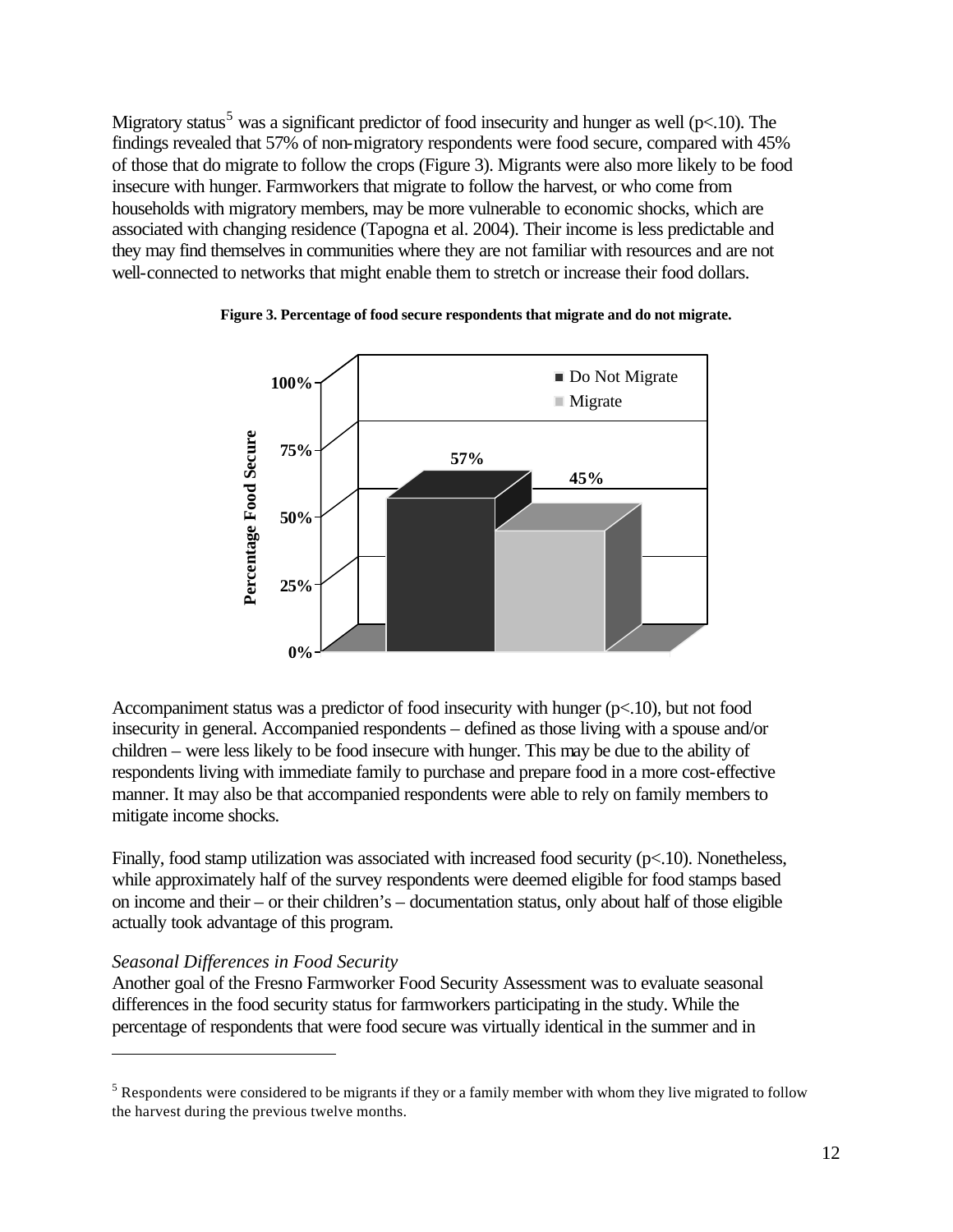Migratory status<sup>5</sup> was a significant predictor of food insecurity and hunger as well ( $p<10$ ). The findings revealed that 57% of non-migratory respondents were food secure, compared with 45% of those that do migrate to follow the crops (Figure 3). Migrants were also more likely to be food insecure with hunger. Farmworkers that migrate to follow the harvest, or who come from households with migratory members, may be more vulnerable to economic shocks, which are associated with changing residence (Tapogna et al. 2004). Their income is less predictable and they may find themselves in communities where they are not familiar with resources and are not well-connected to networks that might enable them to stretch or increase their food dollars.



#### **Figure 3. Percentage of food secure respondents that migrate and do not migrate.**

Accompaniment status was a predictor of food insecurity with hunger (p<.10), but not food insecurity in general. Accompanied respondents – defined as those living with a spouse and/or children – were less likely to be food insecure with hunger. This may be due to the ability of respondents living with immediate family to purchase and prepare food in a more cost-effective manner. It may also be that accompanied respondents were able to rely on family members to mitigate income shocks.

Finally, food stamp utilization was associated with increased food security (p<.10). Nonetheless, while approximately half of the survey respondents were deemed eligible for food stamps based on income and their – or their children's – documentation status, only about half of those eligible actually took advantage of this program.

#### *Seasonal Differences in Food Security*

 $\overline{a}$ 

Another goal of the Fresno Farmworker Food Security Assessment was to evaluate seasonal differences in the food security status for farmworkers participating in the study. While the percentage of respondents that were food secure was virtually identical in the summer and in

 $<sup>5</sup>$  Respondents were considered to be migrants if they or a family member with whom they live migrated to follow</sup> the harvest during the previous twelve months.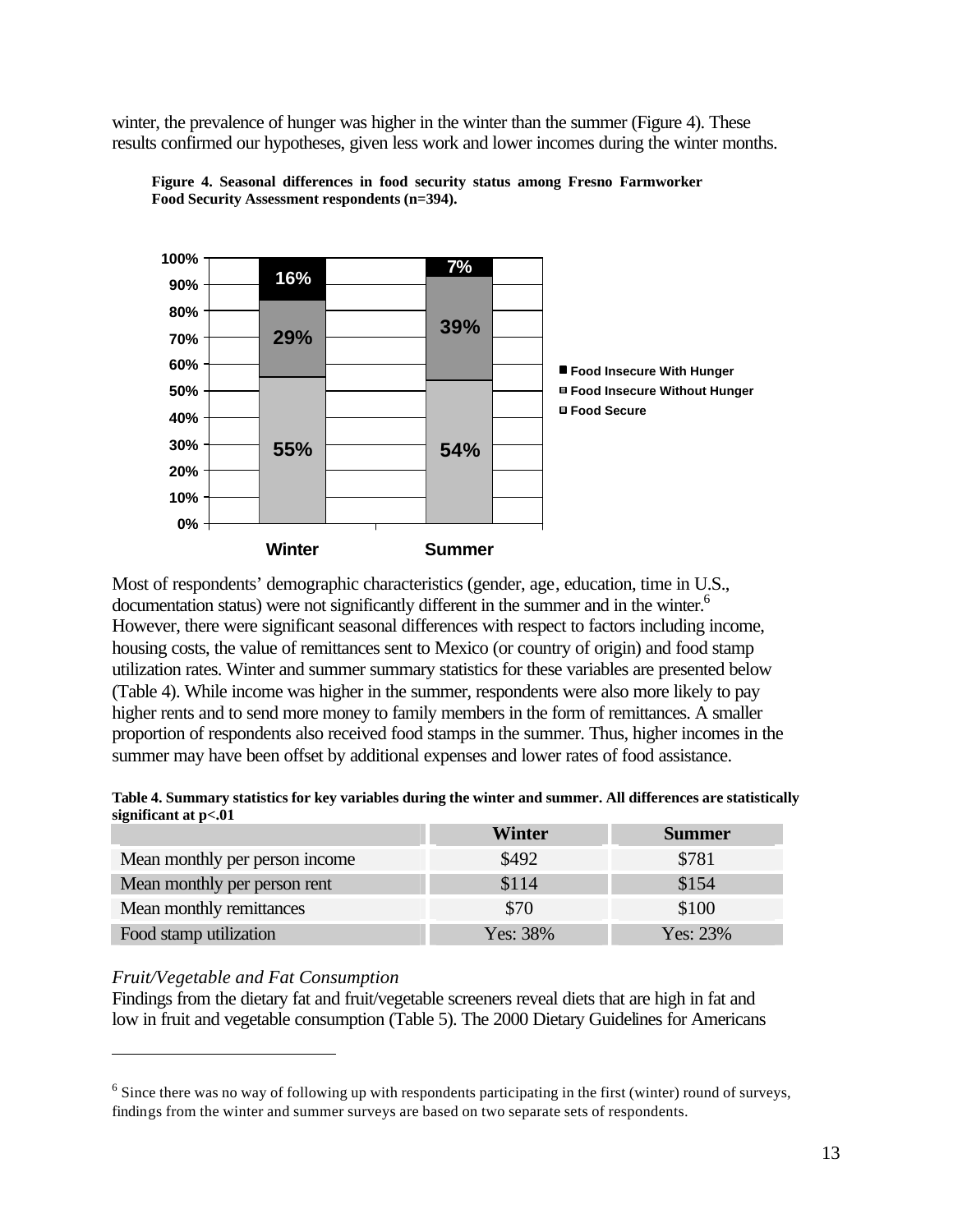winter, the prevalence of hunger was higher in the winter than the summer (Figure 4). These results confirmed our hypotheses, given less work and lower incomes during the winter months.



**Figure 4. Seasonal differences in food security status among Fresno Farmworker Food Security Assessment respondents (n=394).**

Most of respondents' demographic characteristics (gender, age, education, time in U.S., documentation status) were not significantly different in the summer and in the winter.<sup>6</sup> However, there were significant seasonal differences with respect to factors including income, housing costs, the value of remittances sent to Mexico (or country of origin) and food stamp utilization rates. Winter and summer summary statistics for these variables are presented below (Table 4). While income was higher in the summer, respondents were also more likely to pay higher rents and to send more money to family members in the form of remittances. A smaller proportion of respondents also received food stamps in the summer. Thus, higher incomes in the summer may have been offset by additional expenses and lower rates of food assistance.

| Table 4. Summary statistics for key variables during the winter and summer. All differences are statistically |  |
|---------------------------------------------------------------------------------------------------------------|--|
| significant at p<.01                                                                                          |  |

|                                | Winter     | <b>Summer</b> |
|--------------------------------|------------|---------------|
| Mean monthly per person income | \$492      | \$781         |
| Mean monthly per person rent   | \$114      | \$154         |
| Mean monthly remittances       | \$70       | \$100         |
| Food stamp utilization         | Yes: $38%$ | Yes: $23%$    |

#### *Fruit/Vegetable and Fat Consumption*

 $\overline{a}$ 

Findings from the dietary fat and fruit/vegetable screeners reveal diets that are high in fat and low in fruit and vegetable consumption (Table 5). The 2000 Dietary Guidelines for Americans

 $6$  Since there was no way of following up with respondents participating in the first (winter) round of surveys, findings from the winter and summer surveys are based on two separate sets of respondents.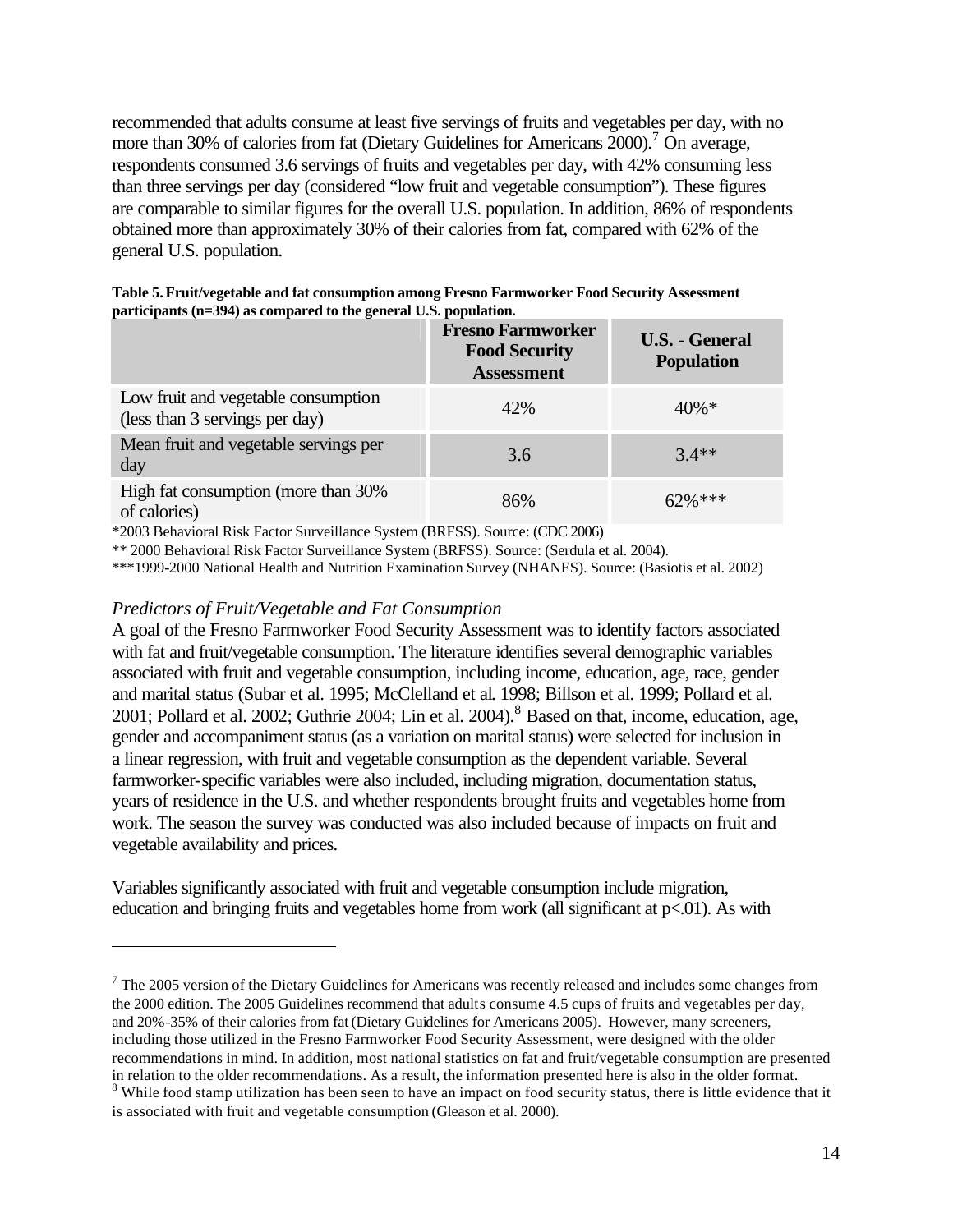recommended that adults consume at least five servings of fruits and vegetables per day, with no more than 30% of calories from fat (Dietary Guidelines for Americans 2000).<sup>7</sup> On average, respondents consumed 3.6 servings of fruits and vegetables per day, with 42% consuming less than three servings per day (considered "low fruit and vegetable consumption"). These figures are comparable to similar figures for the overall U.S. population. In addition, 86% of respondents obtained more than approximately 30% of their calories from fat, compared with 62% of the general U.S. population.

| $\mu$ are interpreted in $\sim$ $\mu$ as compared to the general $\sigma$ as population. |                                                                       |                                            |
|------------------------------------------------------------------------------------------|-----------------------------------------------------------------------|--------------------------------------------|
|                                                                                          | <b>Fresno Farmworker</b><br><b>Food Security</b><br><b>Assessment</b> | <b>U.S. - General</b><br><b>Population</b> |
| Low fruit and vegetable consumption<br>(less than 3 servings per day)                    | 42%                                                                   | $40\% *$                                   |
| Mean fruit and vegetable servings per<br>day                                             | 3.6                                                                   | $3.4**$                                    |
| High fat consumption (more than 30%<br>of calories)                                      | 86%                                                                   | $62\%$ ***                                 |

| Table 5. Fruit/vegetable and fat consumption among Fresno Farmworker Food Security Assessment |
|-----------------------------------------------------------------------------------------------|
| participants (n=394) as compared to the general U.S. population.                              |

\*2003 Behavioral Risk Factor Surveillance System (BRFSS). Source: (CDC 2006)

\*\* 2000 Behavioral Risk Factor Surveillance System (BRFSS). Source: (Serdula et al. 2004).

\*\*\*1999-2000 National Health and Nutrition Examination Survey (NHANES). Source: (Basiotis et al. 2002)

#### *Predictors of Fruit/Vegetable and Fat Consumption*

 $\overline{a}$ 

A goal of the Fresno Farmworker Food Security Assessment was to identify factors associated with fat and fruit/vegetable consumption. The literature identifies several demographic variables associated with fruit and vegetable consumption, including income, education, age, race, gender and marital status (Subar et al. 1995; McClelland et al. 1998; Billson et al. 1999; Pollard et al. 2001; Pollard et al. 2002; Guthrie 2004; Lin et al. 2004).<sup>8</sup> Based on that, income, education, age, gender and accompaniment status (as a variation on marital status) were selected for inclusion in a linear regression, with fruit and vegetable consumption as the dependent variable. Several farmworker-specific variables were also included, including migration, documentation status, years of residence in the U.S. and whether respondents brought fruits and vegetables home from work. The season the survey was conducted was also included because of impacts on fruit and vegetable availability and prices.

Variables significantly associated with fruit and vegetable consumption include migration, education and bringing fruits and vegetables home from work (all significant at  $p<.01$ ). As with

 $7$  The 2005 version of the Dietary Guidelines for Americans was recently released and includes some changes from the 2000 edition. The 2005 Guidelines recommend that adults consume 4.5 cups of fruits and vegetables per day, and 20%-35% of their calories from fat (Dietary Guidelines for Americans 2005). However, many screeners, including those utilized in the Fresno Farmworker Food Security Assessment, were designed with the older recommendations in mind. In addition, most national statistics on fat and fruit/vegetable consumption are presented in relation to the older recommendations. As a result, the information presented here is also in the older format.

<sup>&</sup>lt;sup>8</sup> While food stamp utilization has been seen to have an impact on food security status, there is little evidence that it is associated with fruit and vegetable consumption (Gleason et al. 2000).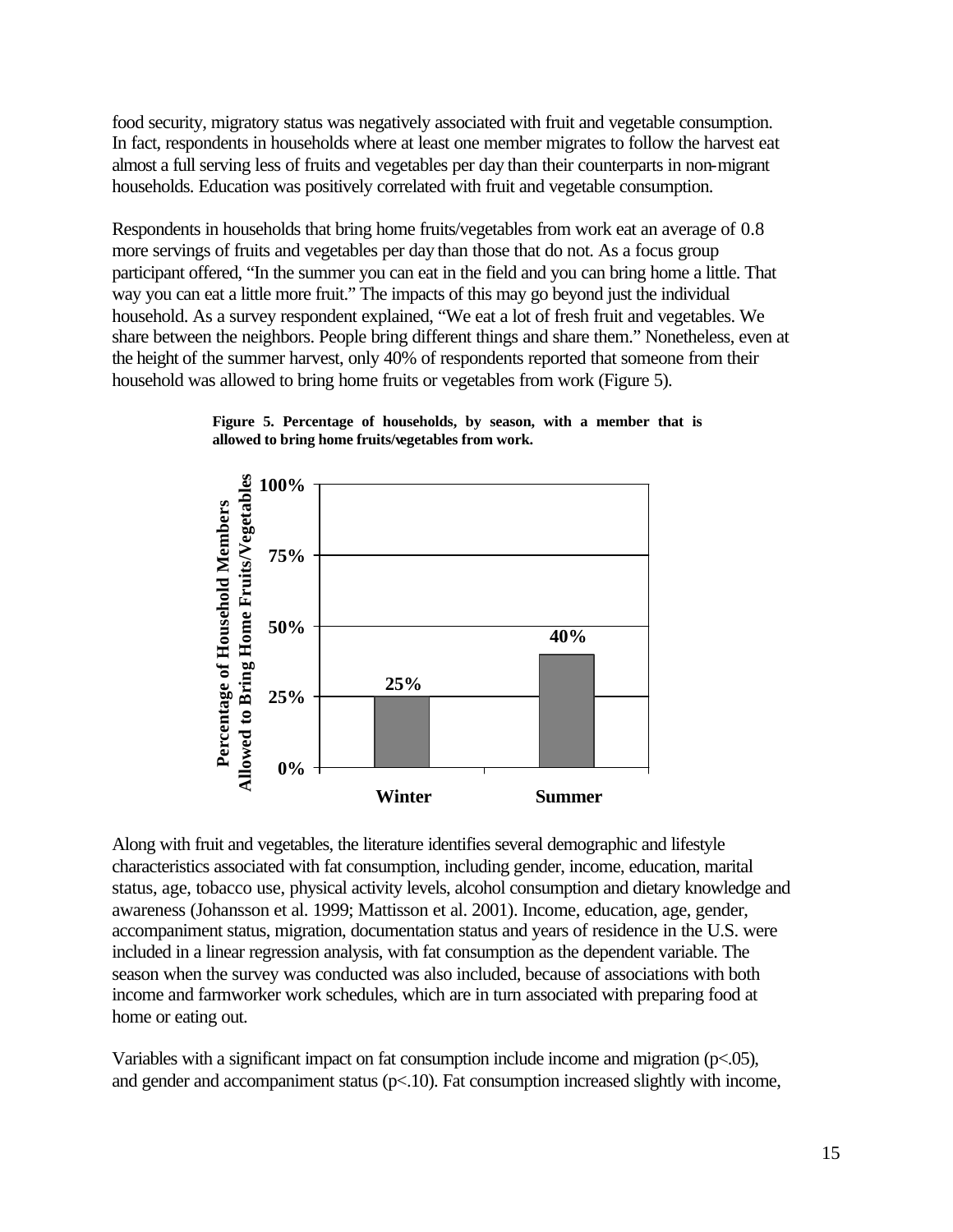food security, migratory status was negatively associated with fruit and vegetable consumption. In fact, respondents in households where at least one member migrates to follow the harvest eat almost a full serving less of fruits and vegetables per day than their counterparts in non-migrant households. Education was positively correlated with fruit and vegetable consumption.

Respondents in households that bring home fruits/vegetables from work eat an average of 0.8 more servings of fruits and vegetables per day than those that do not. As a focus group participant offered, "In the summer you can eat in the field and you can bring home a little. That way you can eat a little more fruit." The impacts of this may go beyond just the individual household. As a survey respondent explained, "We eat a lot of fresh fruit and vegetables. We share between the neighbors. People bring different things and share them." Nonetheless, even at the height of the summer harvest, only 40% of respondents reported that someone from their household was allowed to bring home fruits or vegetables from work (Figure 5).





Along with fruit and vegetables, the literature identifies several demographic and lifestyle characteristics associated with fat consumption, including gender, income, education, marital status, age, tobacco use, physical activity levels, alcohol consumption and dietary knowledge and awareness (Johansson et al. 1999; Mattisson et al. 2001). Income, education, age, gender, accompaniment status, migration, documentation status and years of residence in the U.S. were included in a linear regression analysis, with fat consumption as the dependent variable. The season when the survey was conducted was also included, because of associations with both income and farmworker work schedules, which are in turn associated with preparing food at home or eating out.

Variables with a significant impact on fat consumption include income and migration (p<.05), and gender and accompaniment status  $(p<10)$ . Fat consumption increased slightly with income,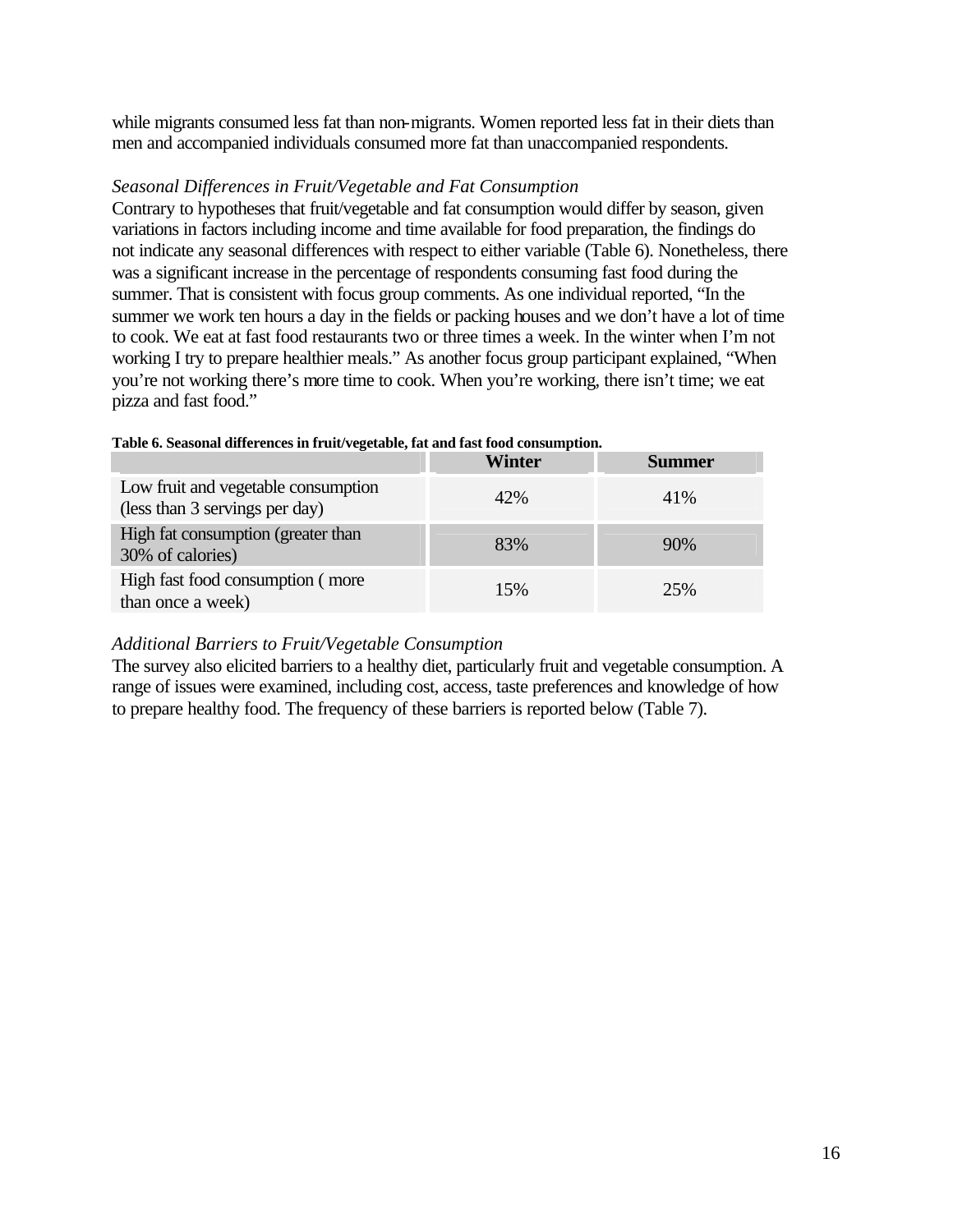while migrants consumed less fat than non-migrants. Women reported less fat in their diets than men and accompanied individuals consumed more fat than unaccompanied respondents.

#### *Seasonal Differences in Fruit/Vegetable and Fat Consumption*

Contrary to hypotheses that fruit/vegetable and fat consumption would differ by season, given variations in factors including income and time available for food preparation, the findings do not indicate any seasonal differences with respect to either variable (Table 6). Nonetheless, there was a significant increase in the percentage of respondents consuming fast food during the summer. That is consistent with focus group comments. As one individual reported, "In the summer we work ten hours a day in the fields or packing houses and we don't have a lot of time to cook. We eat at fast food restaurants two or three times a week. In the winter when I'm not working I try to prepare healthier meals." As another focus group participant explained, "When you're not working there's more time to cook. When you're working, there isn't time; we eat pizza and fast food."

|                                                                       | <b>Winter</b> | Summer |
|-----------------------------------------------------------------------|---------------|--------|
| Low fruit and vegetable consumption<br>(less than 3 servings per day) | 42%           | 41\%   |
| High fat consumption (greater than<br>30% of calories)                | 83%           | 90%    |
| High fast food consumption (more<br>than once a week)                 | 15%           | 25%    |

#### **Table 6. Seasonal differences in fruit/vegetable, fat and fast food consumption.**

#### *Additional Barriers to Fruit/Vegetable Consumption*

The survey also elicited barriers to a healthy diet, particularly fruit and vegetable consumption. A range of issues were examined, including cost, access, taste preferences and knowledge of how to prepare healthy food. The frequency of these barriers is reported below (Table 7).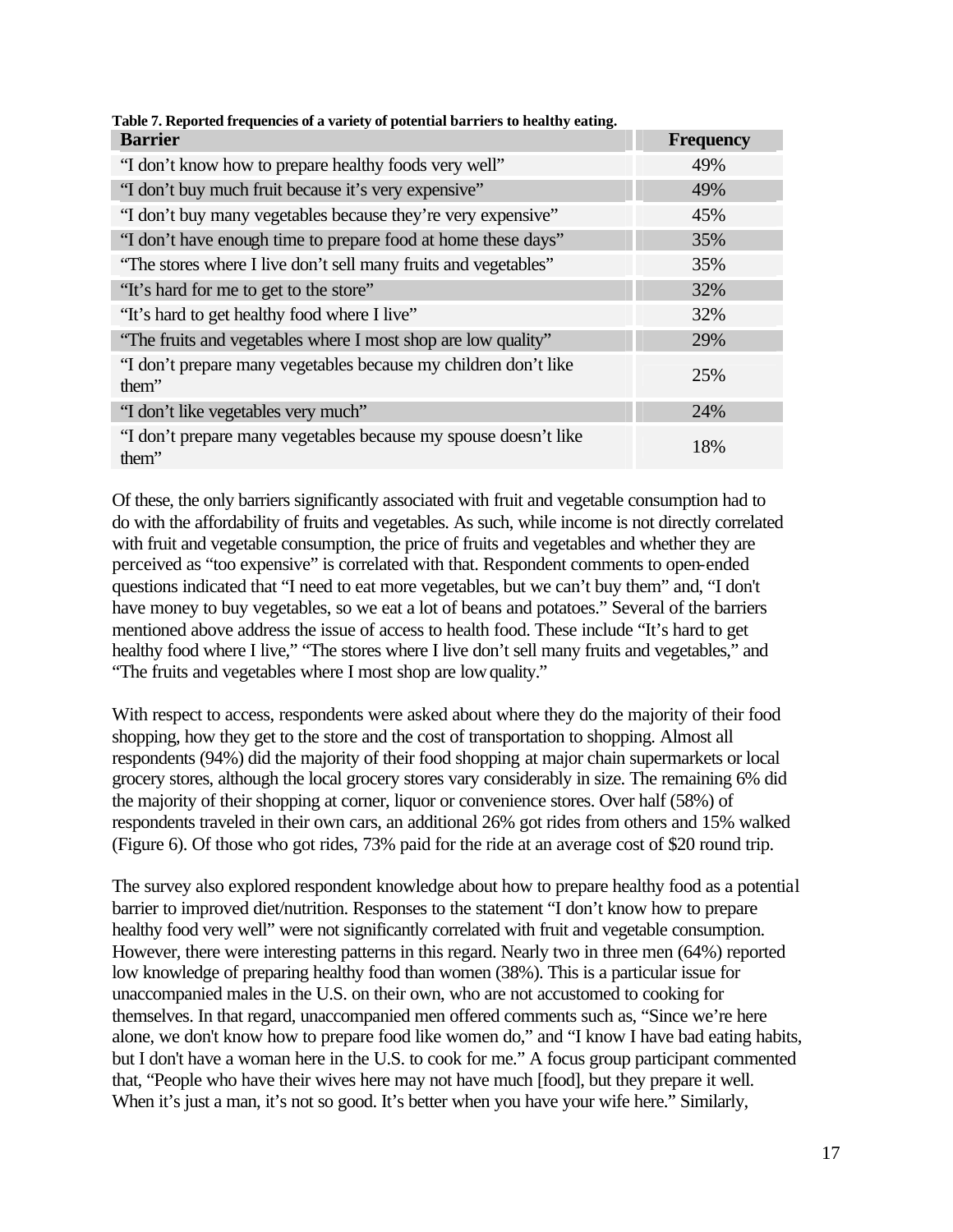| Table 7. Reported frequencies of a variety of potential barriers to nealthy eating. |                  |
|-------------------------------------------------------------------------------------|------------------|
| <b>Barrier</b>                                                                      | <b>Frequency</b> |
| "I don't know how to prepare healthy foods very well"                               | 49%              |
| "I don't buy much fruit because it's very expensive"                                | 49%              |
| "I don't buy many vegetables because they're very expensive"                        | 45%              |
| "I don't have enough time to prepare food at home these days"                       | 35%              |
| "The stores where I live don't sell many fruits and vegetables"                     | 35%              |
| "It's hard for me to get to the store"                                              | 32%              |
| "It's hard to get healthy food where I live"                                        | 32%              |
| "The fruits and vegetables where I most shop are low quality"                       | 29%              |
| "I don't prepare many vegetables because my children don't like<br>them"            | 25%              |
| "I don't like vegetables very much"                                                 | 24%              |
| "I don't prepare many vegetables because my spouse doesn't like<br>them"            | 18%              |

#### **Table 7. Reported frequencies of a variety of potential barriers to healthy eating.**

Of these, the only barriers significantly associated with fruit and vegetable consumption had to do with the affordability of fruits and vegetables. As such, while income is not directly correlated with fruit and vegetable consumption, the price of fruits and vegetables and whether they are perceived as "too expensive" is correlated with that. Respondent comments to open-ended questions indicated that "I need to eat more vegetables, but we can't buy them" and, "I don't have money to buy vegetables, so we eat a lot of beans and potatoes." Several of the barriers mentioned above address the issue of access to health food. These include "It's hard to get healthy food where I live," "The stores where I live don't sell many fruits and vegetables," and "The fruits and vegetables where I most shop are low quality."

With respect to access, respondents were asked about where they do the majority of their food shopping, how they get to the store and the cost of transportation to shopping. Almost all respondents (94%) did the majority of their food shopping at major chain supermarkets or local grocery stores, although the local grocery stores vary considerably in size. The remaining 6% did the majority of their shopping at corner, liquor or convenience stores. Over half (58%) of respondents traveled in their own cars, an additional 26% got rides from others and 15% walked (Figure 6). Of those who got rides, 73% paid for the ride at an average cost of \$20 round trip.

The survey also explored respondent knowledge about how to prepare healthy food as a potential barrier to improved diet/nutrition. Responses to the statement "I don't know how to prepare healthy food very well" were not significantly correlated with fruit and vegetable consumption. However, there were interesting patterns in this regard. Nearly two in three men (64%) reported low knowledge of preparing healthy food than women (38%). This is a particular issue for unaccompanied males in the U.S. on their own, who are not accustomed to cooking for themselves. In that regard, unaccompanied men offered comments such as, "Since we're here alone, we don't know how to prepare food like women do," and "I know I have bad eating habits, but I don't have a woman here in the U.S. to cook for me." A focus group participant commented that, "People who have their wives here may not have much [food], but they prepare it well. When it's just a man, it's not so good. It's better when you have your wife here." Similarly,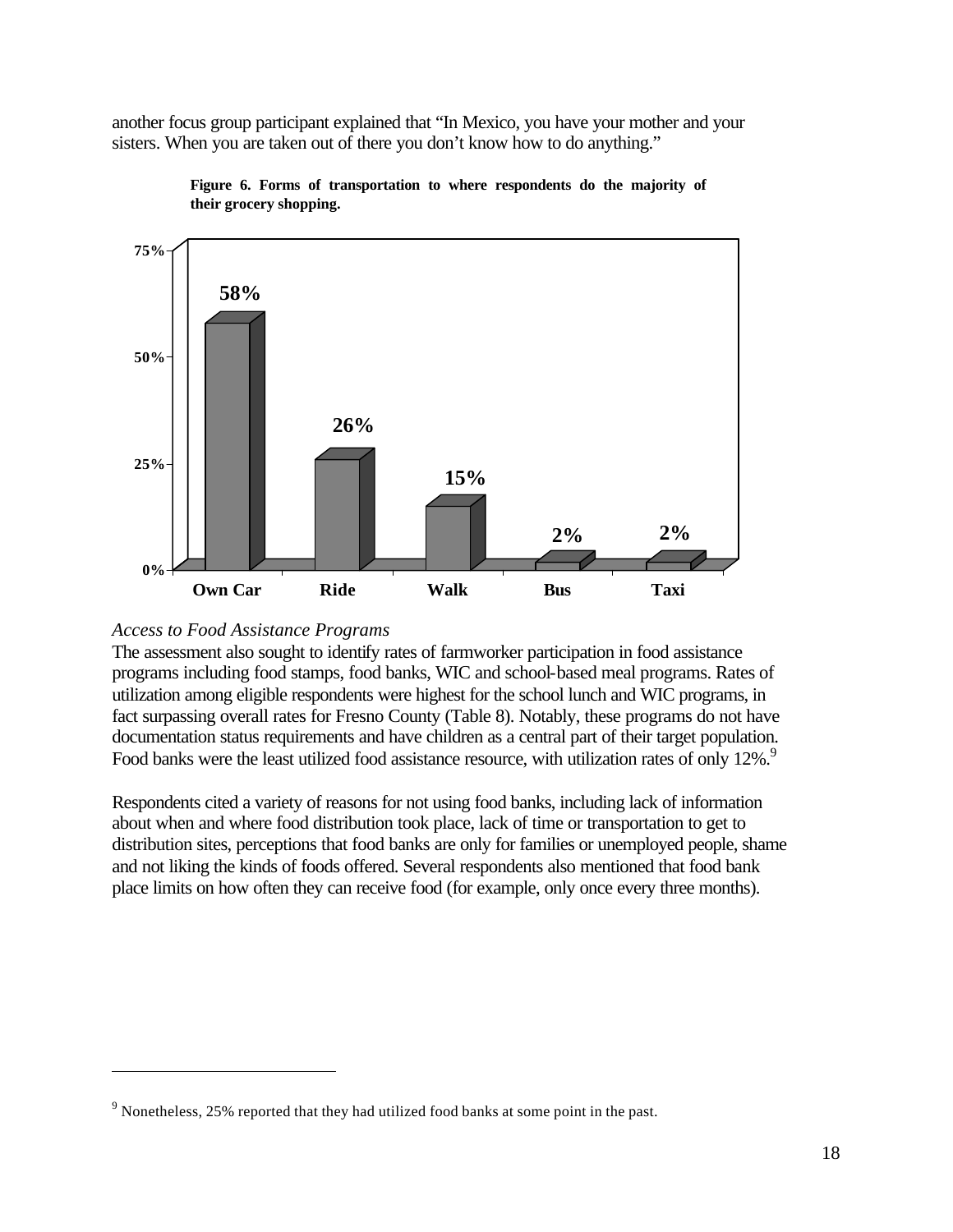another focus group participant explained that "In Mexico, you have your mother and your sisters. When you are taken out of there you don't know how to do anything."





#### *Access to Food Assistance Programs*

 $\overline{a}$ 

The assessment also sought to identify rates of farmworker participation in food assistance programs including food stamps, food banks, WIC and school-based meal programs. Rates of utilization among eligible respondents were highest for the school lunch and WIC programs, in fact surpassing overall rates for Fresno County (Table 8). Notably, these programs do not have documentation status requirements and have children as a central part of their target population. Food banks were the least utilized food assistance resource, with utilization rates of only 12%.<sup>9</sup>

Respondents cited a variety of reasons for not using food banks, including lack of information about when and where food distribution took place, lack of time or transportation to get to distribution sites, perceptions that food banks are only for families or unemployed people, shame and not liking the kinds of foods offered. Several respondents also mentioned that food bank place limits on how often they can receive food (for example, only once every three months).

 $9$  Nonetheless, 25% reported that they had utilized food banks at some point in the past.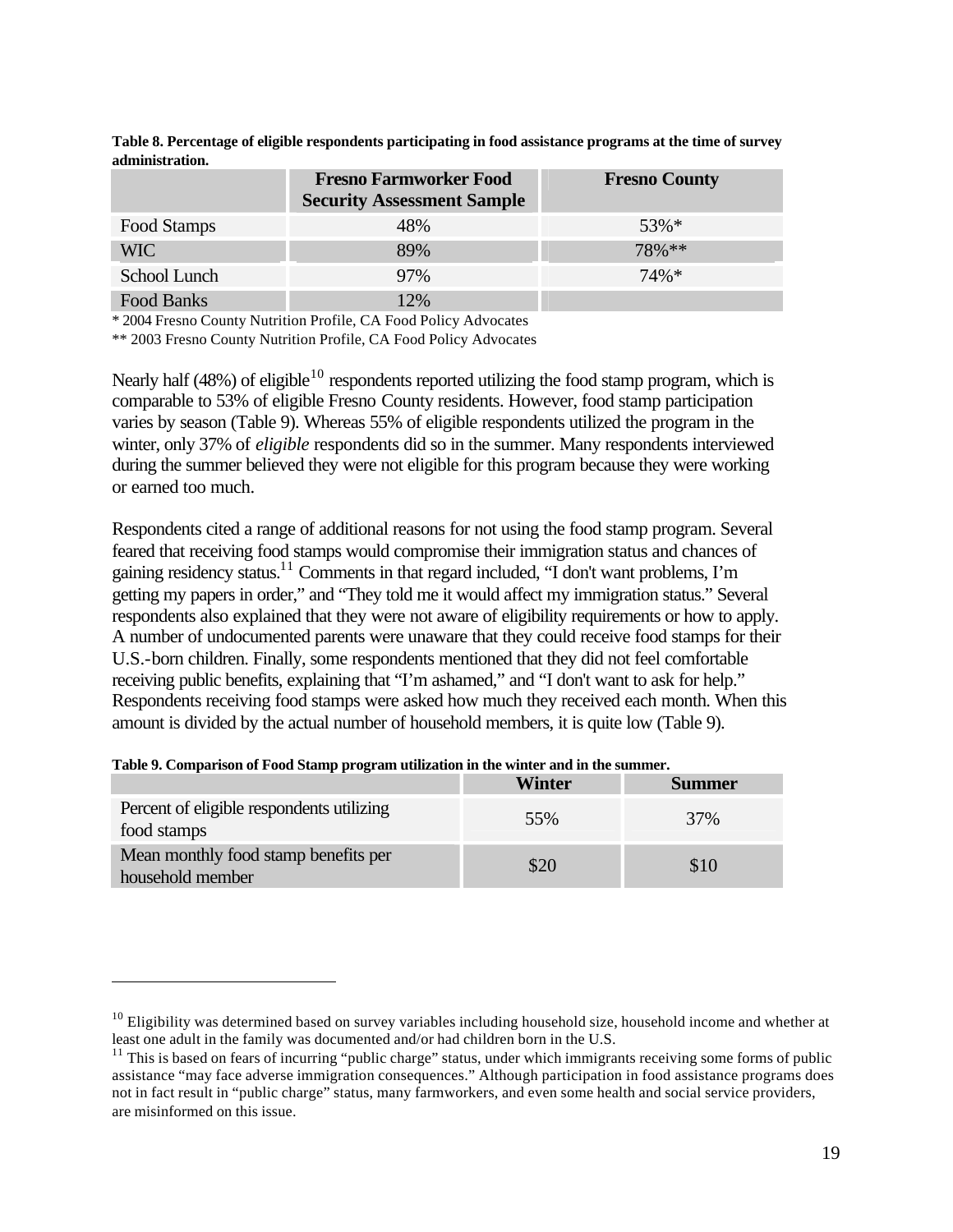| <u>uuministo uuvis</u> |                                                                    |                      |  |
|------------------------|--------------------------------------------------------------------|----------------------|--|
|                        | <b>Fresno Farmworker Food</b><br><b>Security Assessment Sample</b> | <b>Fresno County</b> |  |
| Food Stamps            | 48%                                                                | $53\%*$              |  |
| <b>WIC</b>             | 89%                                                                | $78\%**$             |  |
| School Lunch           | 97%                                                                | $74\%*$              |  |
| Food Banks             | 12%                                                                |                      |  |

**Table 8. Percentage of eligible respondents participating in food assistance programs at the time of survey administration.** 

\* 2004 Fresno County Nutrition Profile, CA Food Policy Advocates

\*\* 2003 Fresno County Nutrition Profile, CA Food Policy Advocates

Nearly half (48%) of eligible<sup>10</sup> respondents reported utilizing the food stamp program, which is comparable to 53% of eligible Fresno County residents. However, food stamp participation varies by season (Table 9). Whereas 55% of eligible respondents utilized the program in the winter, only 37% of *eligible* respondents did so in the summer. Many respondents interviewed during the summer believed they were not eligible for this program because they were working or earned too much.

Respondents cited a range of additional reasons for not using the food stamp program. Several feared that receiving food stamps would compromise their immigration status and chances of gaining residency status.<sup>11</sup> Comments in that regard included, "I don't want problems, I'm getting my papers in order," and "They told me it would affect my immigration status." Several respondents also explained that they were not aware of eligibility requirements or how to apply. A number of undocumented parents were unaware that they could receive food stamps for their U.S.-born children. Finally, some respondents mentioned that they did not feel comfortable receiving public benefits, explaining that "I'm ashamed," and "I don't want to ask for help." Respondents receiving food stamps were asked how much they received each month. When this amount is divided by the actual number of household members, it is quite low (Table 9).

|                                                          | Winter | Summer |
|----------------------------------------------------------|--------|--------|
| Percent of eligible respondents utilizing<br>food stamps | 55%    | 37%    |
| Mean monthly food stamp benefits per<br>household member | \$20   | \$10   |

|  | Table 9. Comparison of Food Stamp program utilization in the winter and in the summer. |  |
|--|----------------------------------------------------------------------------------------|--|
|  |                                                                                        |  |

 $\overline{a}$ 

 $10$  Eligibility was determined based on survey variables including household size, household income and whether at least one adult in the family was documented and/or had children born in the U.S.

 $11$  This is based on fears of incurring "public charge" status, under which immigrants receiving some forms of public assistance "may face adverse immigration consequences." Although participation in food assistance programs does not in fact result in "public charge" status, many farmworkers, and even some health and social service providers, are misinformed on this issue.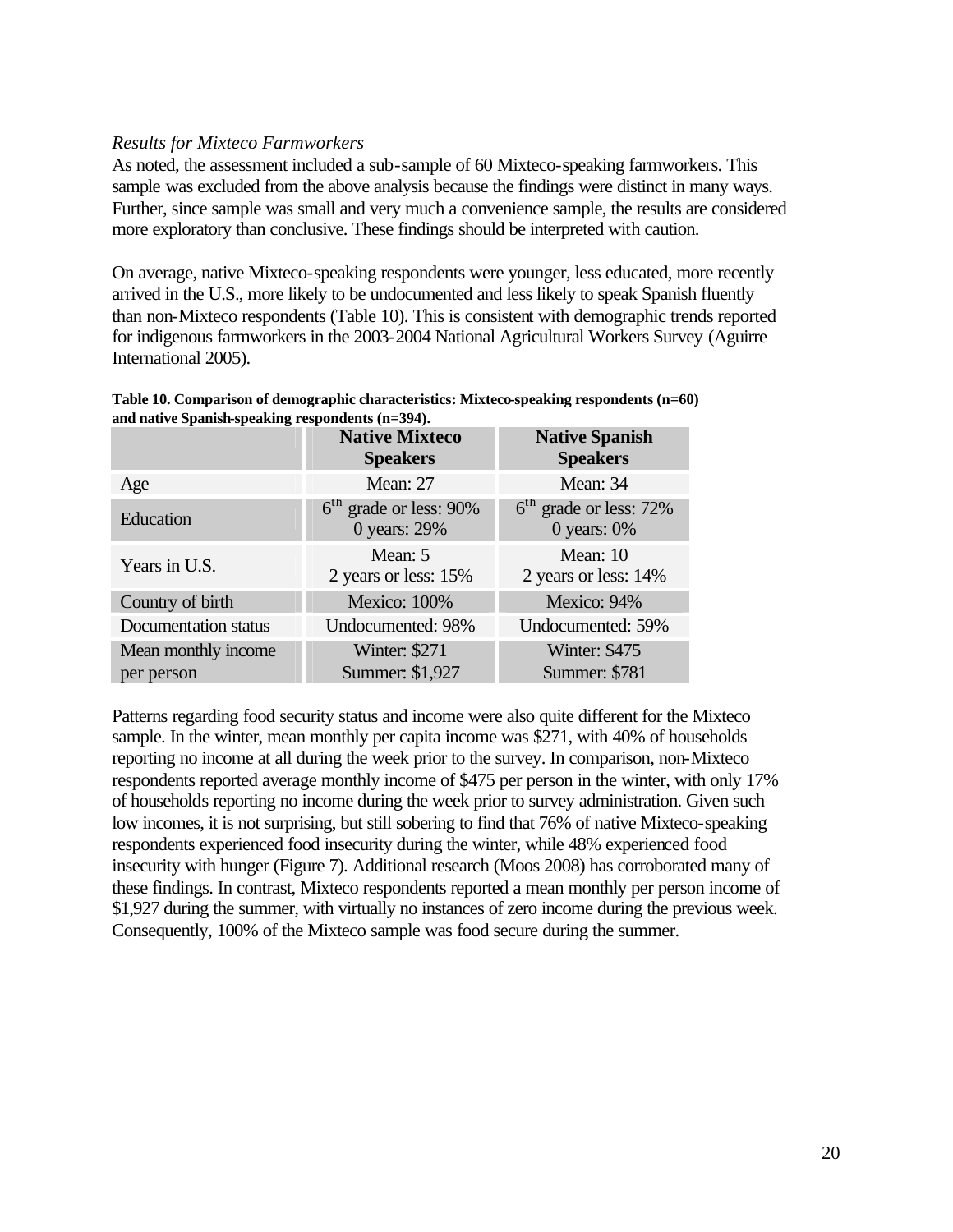#### *Results for Mixteco Farmworkers*

As noted, the assessment included a sub-sample of 60 Mixteco-speaking farmworkers. This sample was excluded from the above analysis because the findings were distinct in many ways. Further, since sample was small and very much a convenience sample, the results are considered more exploratory than conclusive. These findings should be interpreted with caution.

On average, native Mixteco-speaking respondents were younger, less educated, more recently arrived in the U.S., more likely to be undocumented and less likely to speak Spanish fluently than non-Mixteco respondents (Table 10). This is consistent with demographic trends reported for indigenous farmworkers in the 2003-2004 National Agricultural Workers Survey (Aguirre International 2005).

| Table 10. Comparison of demographic characteristics: Mixteco-speaking respondents $(n=60)$ |
|--------------------------------------------------------------------------------------------|
| and native Spanish-speaking respondents (n=394).                                           |

|                      | <b>Native Mixteco</b><br><b>Speakers</b> | <b>Native Spanish</b><br><b>Speakers</b>   |
|----------------------|------------------------------------------|--------------------------------------------|
| Age                  | Mean: 27                                 | Mean: 34                                   |
| Education            | $6th$ grade or less: 90%<br>0 years: 29% | $6th$ grade or less: 72%<br>0 years: $0\%$ |
| Years in U.S.        | Mean: 5<br>2 years or less: 15%          | Mean: 10<br>2 years or less: 14%           |
| Country of birth     | <b>Mexico: 100%</b>                      | Mexico: 94%                                |
| Documentation status | Undocumented: 98%                        | Undocumented: 59%                          |
| Mean monthly income  | Winter: \$271                            | Winter: \$475                              |
| per person           | Summer: \$1,927                          | <b>Summer: \$781</b>                       |

Patterns regarding food security status and income were also quite different for the Mixteco sample. In the winter, mean monthly per capita income was \$271, with 40% of households reporting no income at all during the week prior to the survey. In comparison, non-Mixteco respondents reported average monthly income of \$475 per person in the winter, with only 17% of households reporting no income during the week prior to survey administration. Given such low incomes, it is not surprising, but still sobering to find that 76% of native Mixteco-speaking respondents experienced food insecurity during the winter, while 48% experienced food insecurity with hunger (Figure 7). Additional research (Moos 2008) has corroborated many of these findings. In contrast, Mixteco respondents reported a mean monthly per person income of \$1,927 during the summer, with virtually no instances of zero income during the previous week. Consequently, 100% of the Mixteco sample was food secure during the summer.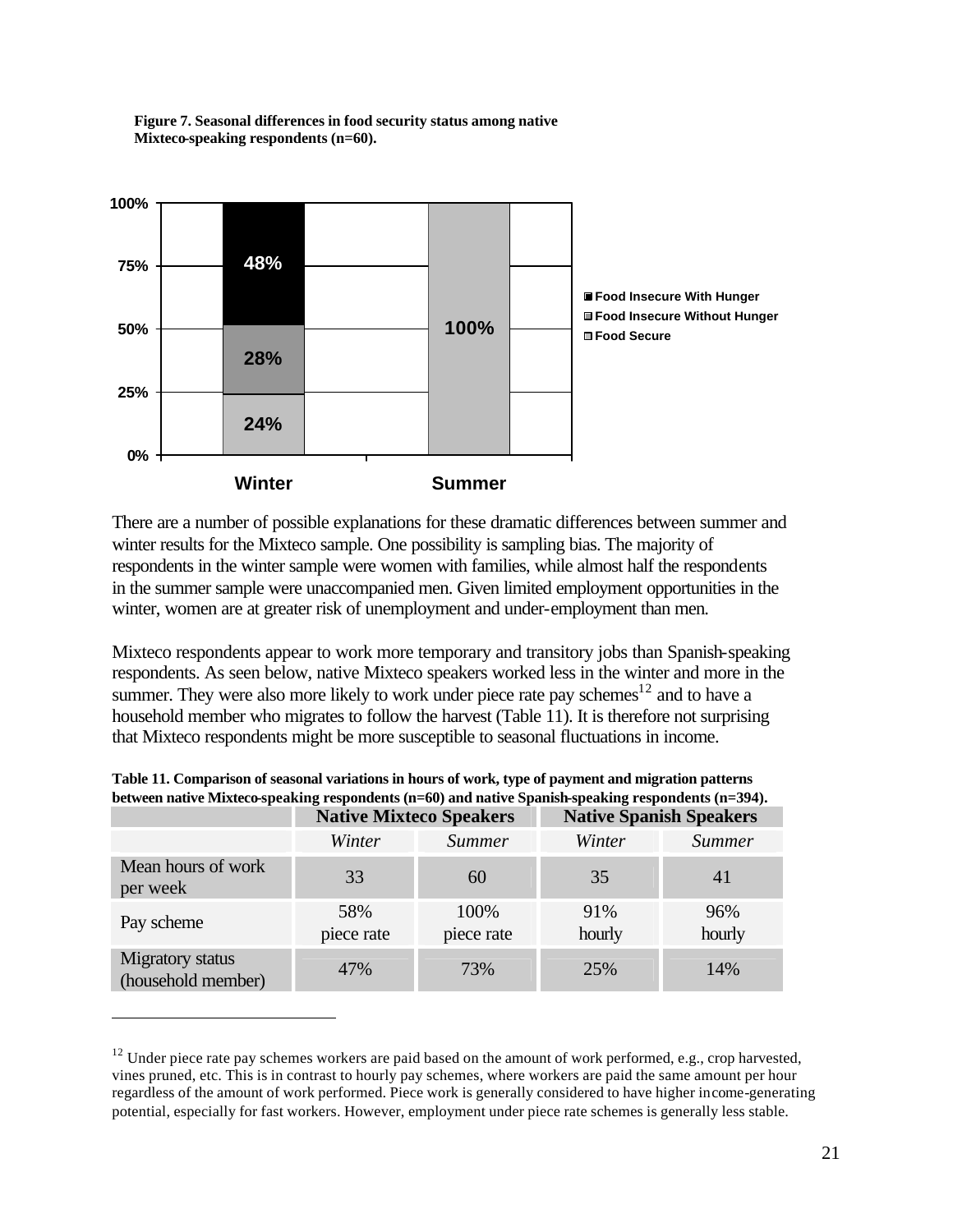

**Figure 7. Seasonal differences in food security status among native Mixteco-speaking respondents (n=60).**

There are a number of possible explanations for these dramatic differences between summer and winter results for the Mixteco sample. One possibility is sampling bias. The majority of respondents in the winter sample were women with families, while almost half the respondents in the summer sample were unaccompanied men. Given limited employment opportunities in the winter, women are at greater risk of unemployment and under-employment than men.

Mixteco respondents appear to work more temporary and transitory jobs than Spanish-speaking respondents. As seen below, native Mixteco speakers worked less in the winter and more in the summer. They were also more likely to work under piece rate pay schemes<sup>12</sup> and to have a household member who migrates to follow the harvest (Table 11). It is therefore not surprising that Mixteco respondents might be more susceptible to seasonal fluctuations in income.

| between nauve mixteeospeaking respondents (n=00) and nauve spanish-speaking respondents (n=07+). |                                |                    |                                |               |
|--------------------------------------------------------------------------------------------------|--------------------------------|--------------------|--------------------------------|---------------|
|                                                                                                  | <b>Native Mixteco Speakers</b> |                    | <b>Native Spanish Speakers</b> |               |
|                                                                                                  | Winter                         | Summer             | Winter                         | Summer        |
| Mean hours of work<br>per week                                                                   | 33                             | 60                 | 35                             | 41            |
| Pay scheme                                                                                       | 58%<br>piece rate              | 100%<br>piece rate | 91%<br>hourly                  | 96%<br>hourly |
| <b>Migratory</b> status<br>(household member)                                                    | 47%                            | 73%                | 25%                            | 14%           |

 $\overline{a}$ 

**Table 11. Comparison of seasonal variations in hours of work, type of payment and migration patterns between native Mixteco-speaking respondents (n=60) and native Spanish-speaking respondents (n=394).**

 $12$  Under piece rate pay schemes workers are paid based on the amount of work performed, e.g., crop harvested, vines pruned, etc. This is in contrast to hourly pay schemes, where workers are paid the same amount per hour regardless of the amount of work performed. Piece work is generally considered to have higher income-generating potential, especially for fast workers. However, employment under piece rate schemes is generally less stable.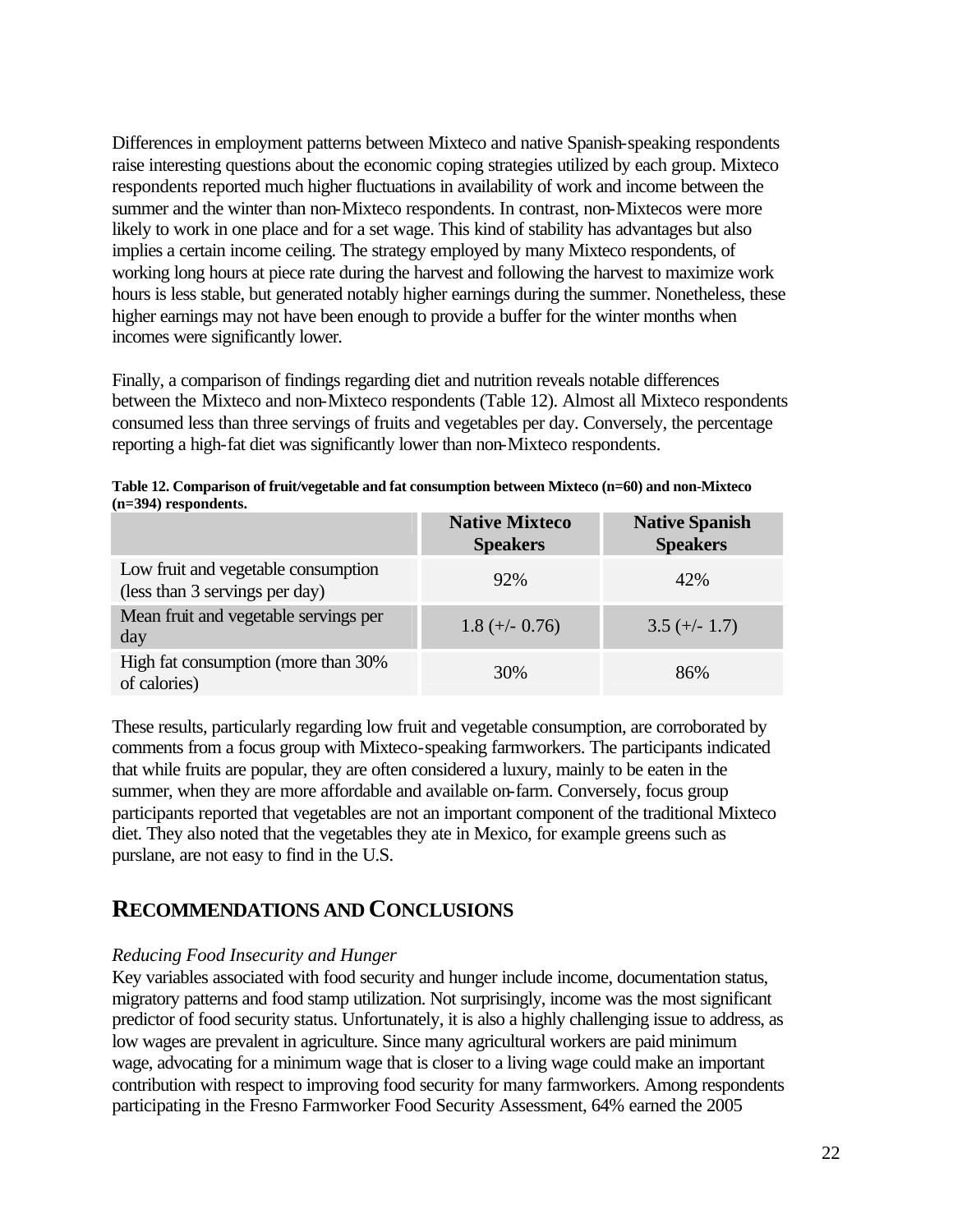Differences in employment patterns between Mixteco and native Spanish-speaking respondents raise interesting questions about the economic coping strategies utilized by each group. Mixteco respondents reported much higher fluctuations in availability of work and income between the summer and the winter than non-Mixteco respondents. In contrast, non-Mixtecos were more likely to work in one place and for a set wage. This kind of stability has advantages but also implies a certain income ceiling. The strategy employed by many Mixteco respondents, of working long hours at piece rate during the harvest and following the harvest to maximize work hours is less stable, but generated notably higher earnings during the summer. Nonetheless, these higher earnings may not have been enough to provide a buffer for the winter months when incomes were significantly lower.

Finally, a comparison of findings regarding diet and nutrition reveals notable differences between the Mixteco and non-Mixteco respondents (Table 12). Almost all Mixteco respondents consumed less than three servings of fruits and vegetables per day. Conversely, the percentage reporting a high-fat diet was significantly lower than non-Mixteco respondents.

| Table 12. Comparison of fruit/vegetable and fat consumption between Mixteco (n=60) and non-Mixteco |  |
|----------------------------------------------------------------------------------------------------|--|
| $(n=394)$ respondents.                                                                             |  |

|                                                                       | <b>Native Mixteco</b><br><b>Speakers</b> | <b>Native Spanish</b><br><b>Speakers</b> |
|-----------------------------------------------------------------------|------------------------------------------|------------------------------------------|
| Low fruit and vegetable consumption<br>(less than 3 servings per day) | 92%                                      | 42%                                      |
| Mean fruit and vegetable servings per<br>day                          | $1.8 (+/- 0.76)$                         | $3.5 (+/- 1.7)$                          |
| High fat consumption (more than 30%<br>of calories)                   | 30%                                      | 86%                                      |

These results, particularly regarding low fruit and vegetable consumption, are corroborated by comments from a focus group with Mixteco-speaking farmworkers. The participants indicated that while fruits are popular, they are often considered a luxury, mainly to be eaten in the summer, when they are more affordable and available on-farm. Conversely, focus group participants reported that vegetables are not an important component of the traditional Mixteco diet. They also noted that the vegetables they ate in Mexico, for example greens such as purslane, are not easy to find in the U.S.

### **RECOMMENDATIONS AND CONCLUSIONS**

#### *Reducing Food Insecurity and Hunger*

Key variables associated with food security and hunger include income, documentation status, migratory patterns and food stamp utilization. Not surprisingly, income was the most significant predictor of food security status. Unfortunately, it is also a highly challenging issue to address, as low wages are prevalent in agriculture. Since many agricultural workers are paid minimum wage, advocating for a minimum wage that is closer to a living wage could make an important contribution with respect to improving food security for many farmworkers. Among respondents participating in the Fresno Farmworker Food Security Assessment, 64% earned the 2005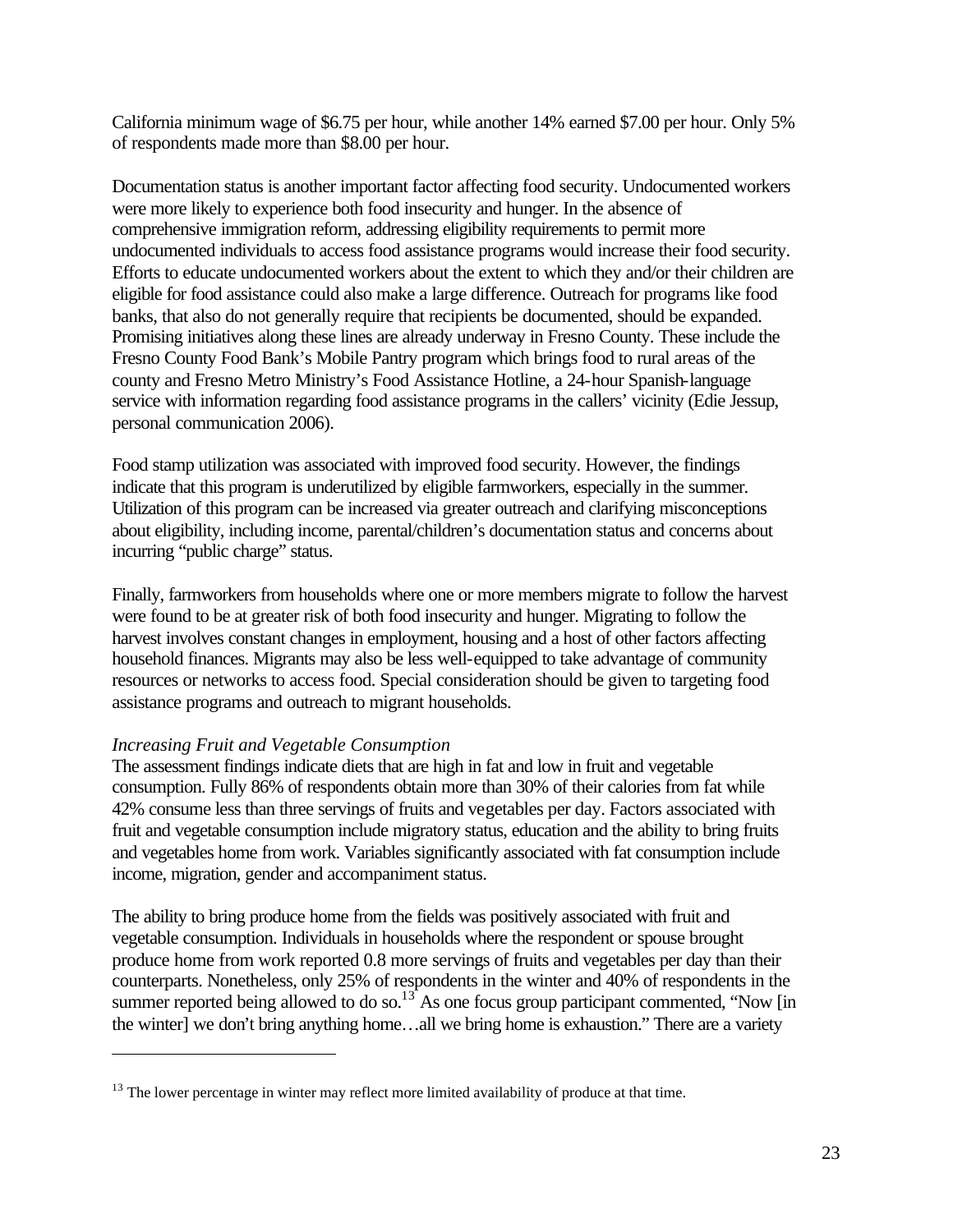California minimum wage of \$6.75 per hour, while another 14% earned \$7.00 per hour. Only 5% of respondents made more than \$8.00 per hour.

Documentation status is another important factor affecting food security. Undocumented workers were more likely to experience both food insecurity and hunger. In the absence of comprehensive immigration reform, addressing eligibility requirements to permit more undocumented individuals to access food assistance programs would increase their food security. Efforts to educate undocumented workers about the extent to which they and/or their children are eligible for food assistance could also make a large difference. Outreach for programs like food banks, that also do not generally require that recipients be documented, should be expanded. Promising initiatives along these lines are already underway in Fresno County. These include the Fresno County Food Bank's Mobile Pantry program which brings food to rural areas of the county and Fresno Metro Ministry's Food Assistance Hotline, a 24-hour Spanish-language service with information regarding food assistance programs in the callers' vicinity (Edie Jessup, personal communication 2006).

Food stamp utilization was associated with improved food security. However, the findings indicate that this program is underutilized by eligible farmworkers, especially in the summer. Utilization of this program can be increased via greater outreach and clarifying misconceptions about eligibility, including income, parental/children's documentation status and concerns about incurring "public charge" status.

Finally, farmworkers from households where one or more members migrate to follow the harvest were found to be at greater risk of both food insecurity and hunger. Migrating to follow the harvest involves constant changes in employment, housing and a host of other factors affecting household finances. Migrants may also be less well-equipped to take advantage of community resources or networks to access food. Special consideration should be given to targeting food assistance programs and outreach to migrant households.

#### *Increasing Fruit and Vegetable Consumption*

 $\overline{a}$ 

The assessment findings indicate diets that are high in fat and low in fruit and vegetable consumption. Fully 86% of respondents obtain more than 30% of their calories from fat while 42% consume less than three servings of fruits and vegetables per day. Factors associated with fruit and vegetable consumption include migratory status, education and the ability to bring fruits and vegetables home from work. Variables significantly associated with fat consumption include income, migration, gender and accompaniment status.

The ability to bring produce home from the fields was positively associated with fruit and vegetable consumption. Individuals in households where the respondent or spouse brought produce home from work reported 0.8 more servings of fruits and vegetables per day than their counterparts. Nonetheless, only 25% of respondents in the winter and 40% of respondents in the summer reported being allowed to do so.<sup>13</sup> As one focus group participant commented, "Now [in] the winter] we don't bring anything home…all we bring home is exhaustion." There are a variety

 $13$  The lower percentage in winter may reflect more limited availability of produce at that time.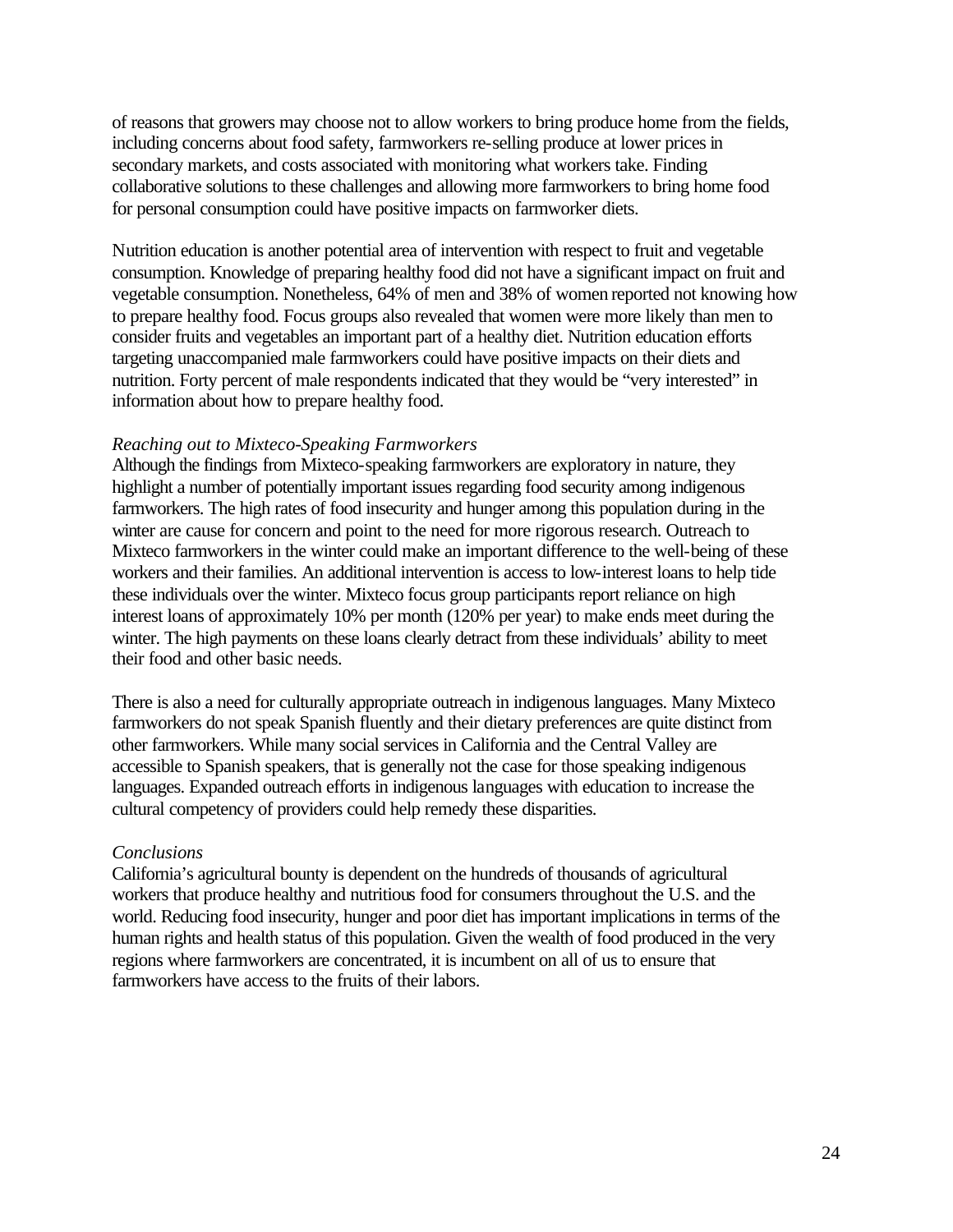of reasons that growers may choose not to allow workers to bring produce home from the fields, including concerns about food safety, farmworkers re-selling produce at lower prices in secondary markets, and costs associated with monitoring what workers take. Finding collaborative solutions to these challenges and allowing more farmworkers to bring home food for personal consumption could have positive impacts on farmworker diets.

Nutrition education is another potential area of intervention with respect to fruit and vegetable consumption. Knowledge of preparing healthy food did not have a significant impact on fruit and vegetable consumption. Nonetheless, 64% of men and 38% of women reported not knowing how to prepare healthy food. Focus groups also revealed that women were more likely than men to consider fruits and vegetables an important part of a healthy diet. Nutrition education efforts targeting unaccompanied male farmworkers could have positive impacts on their diets and nutrition. Forty percent of male respondents indicated that they would be "very interested" in information about how to prepare healthy food.

#### *Reaching out to Mixteco-Speaking Farmworkers*

Although the findings from Mixteco-speaking farmworkers are exploratory in nature, they highlight a number of potentially important issues regarding food security among indigenous farmworkers. The high rates of food insecurity and hunger among this population during in the winter are cause for concern and point to the need for more rigorous research. Outreach to Mixteco farmworkers in the winter could make an important difference to the well-being of these workers and their families. An additional intervention is access to low-interest loans to help tide these individuals over the winter. Mixteco focus group participants report reliance on high interest loans of approximately 10% per month (120% per year) to make ends meet during the winter. The high payments on these loans clearly detract from these individuals' ability to meet their food and other basic needs.

There is also a need for culturally appropriate outreach in indigenous languages. Many Mixteco farmworkers do not speak Spanish fluently and their dietary preferences are quite distinct from other farmworkers. While many social services in California and the Central Valley are accessible to Spanish speakers, that is generally not the case for those speaking indigenous languages. Expanded outreach efforts in indigenous languages with education to increase the cultural competency of providers could help remedy these disparities.

#### *Conclusions*

California's agricultural bounty is dependent on the hundreds of thousands of agricultural workers that produce healthy and nutritious food for consumers throughout the U.S. and the world. Reducing food insecurity, hunger and poor diet has important implications in terms of the human rights and health status of this population. Given the wealth of food produced in the very regions where farmworkers are concentrated, it is incumbent on all of us to ensure that farmworkers have access to the fruits of their labors.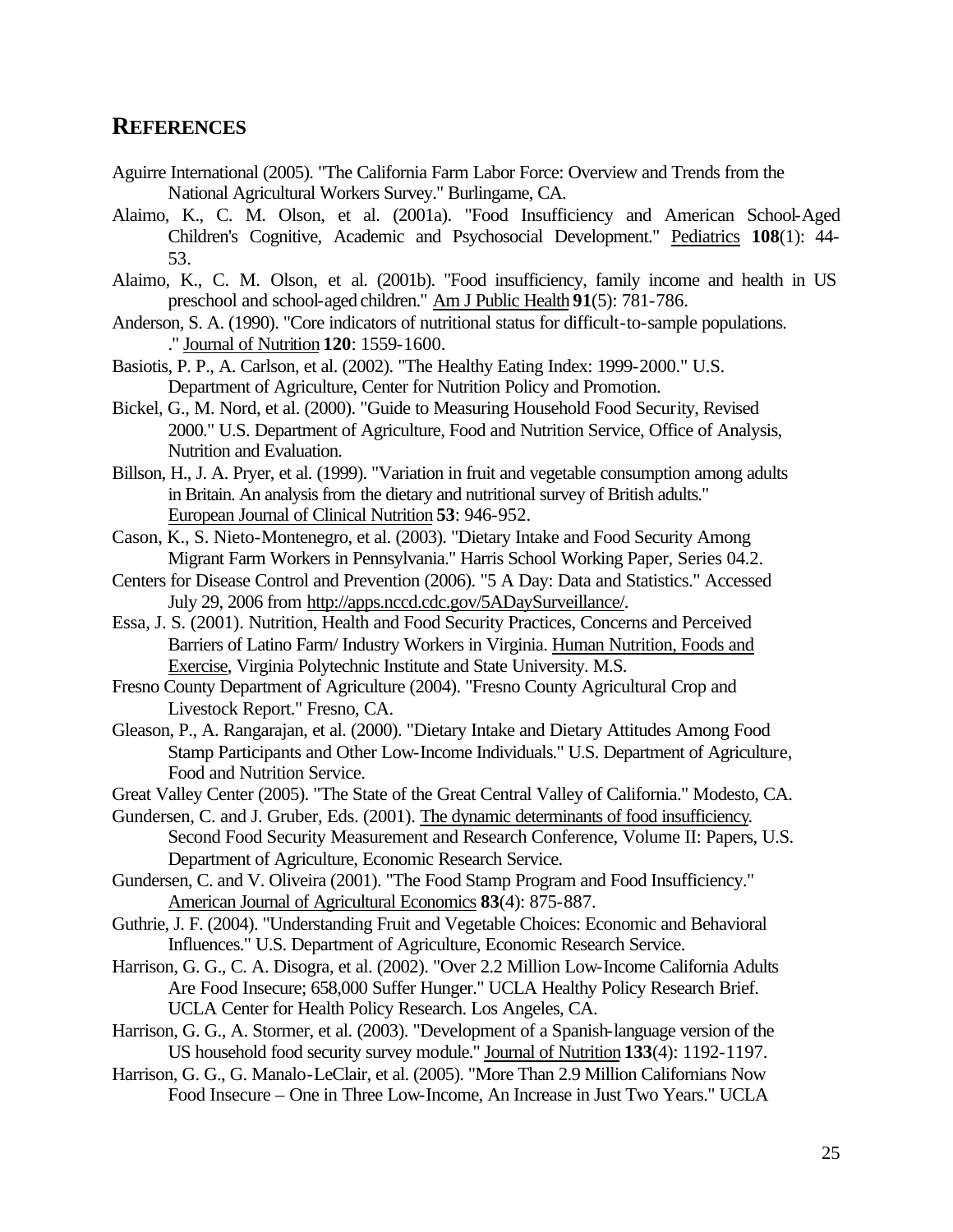#### **REFERENCES**

- Aguirre International (2005). "The California Farm Labor Force: Overview and Trends from the National Agricultural Workers Survey." Burlingame, CA.
- Alaimo, K., C. M. Olson, et al. (2001a). "Food Insufficiency and American School-Aged Children's Cognitive, Academic and Psychosocial Development." Pediatrics **108**(1): 44- 53.
- Alaimo, K., C. M. Olson, et al. (2001b). "Food insufficiency, family income and health in US preschool and school-aged children." Am J Public Health **91**(5): 781-786.
- Anderson, S. A. (1990). "Core indicators of nutritional status for difficult-to-sample populations. ." Journal of Nutrition **120**: 1559-1600.
- Basiotis, P. P., A. Carlson, et al. (2002). "The Healthy Eating Index: 1999-2000." U.S. Department of Agriculture, Center for Nutrition Policy and Promotion.
- Bickel, G., M. Nord, et al. (2000). "Guide to Measuring Household Food Security, Revised 2000." U.S. Department of Agriculture, Food and Nutrition Service, Office of Analysis, Nutrition and Evaluation.
- Billson, H., J. A. Pryer, et al. (1999). "Variation in fruit and vegetable consumption among adults in Britain. An analysis from the dietary and nutritional survey of British adults." European Journal of Clinical Nutrition **53**: 946-952.
- Cason, K., S. Nieto-Montenegro, et al. (2003). "Dietary Intake and Food Security Among Migrant Farm Workers in Pennsylvania." Harris School Working Paper, Series 04.2.
- Centers for Disease Control and Prevention (2006). "5 A Day: Data and Statistics." Accessed July 29, 2006 from http://apps.nccd.cdc.gov/5ADaySurveillance/.
- Essa, J. S. (2001). Nutrition, Health and Food Security Practices, Concerns and Perceived Barriers of Latino Farm/ Industry Workers in Virginia. Human Nutrition, Foods and Exercise, Virginia Polytechnic Institute and State University. M.S.
- Fresno County Department of Agriculture (2004). "Fresno County Agricultural Crop and Livestock Report." Fresno, CA.
- Gleason, P., A. Rangarajan, et al. (2000). "Dietary Intake and Dietary Attitudes Among Food Stamp Participants and Other Low-Income Individuals." U.S. Department of Agriculture, Food and Nutrition Service.
- Great Valley Center (2005). "The State of the Great Central Valley of California." Modesto, CA.
- Gundersen, C. and J. Gruber, Eds. (2001). The dynamic determinants of food insufficiency. Second Food Security Measurement and Research Conference, Volume II: Papers, U.S. Department of Agriculture, Economic Research Service.
- Gundersen, C. and V. Oliveira (2001). "The Food Stamp Program and Food Insufficiency." American Journal of Agricultural Economics **83**(4): 875-887.
- Guthrie, J. F. (2004). "Understanding Fruit and Vegetable Choices: Economic and Behavioral Influences." U.S. Department of Agriculture, Economic Research Service.
- Harrison, G. G., C. A. Disogra, et al. (2002). "Over 2.2 Million Low-Income California Adults Are Food Insecure; 658,000 Suffer Hunger." UCLA Healthy Policy Research Brief. UCLA Center for Health Policy Research. Los Angeles, CA.
- Harrison, G. G., A. Stormer, et al. (2003). "Development of a Spanish-language version of the US household food security survey module." Journal of Nutrition **133**(4): 1192-1197.
- Harrison, G. G., G. Manalo-LeClair, et al. (2005). "More Than 2.9 Million Californians Now Food Insecure – One in Three Low-Income, An Increase in Just Two Years." UCLA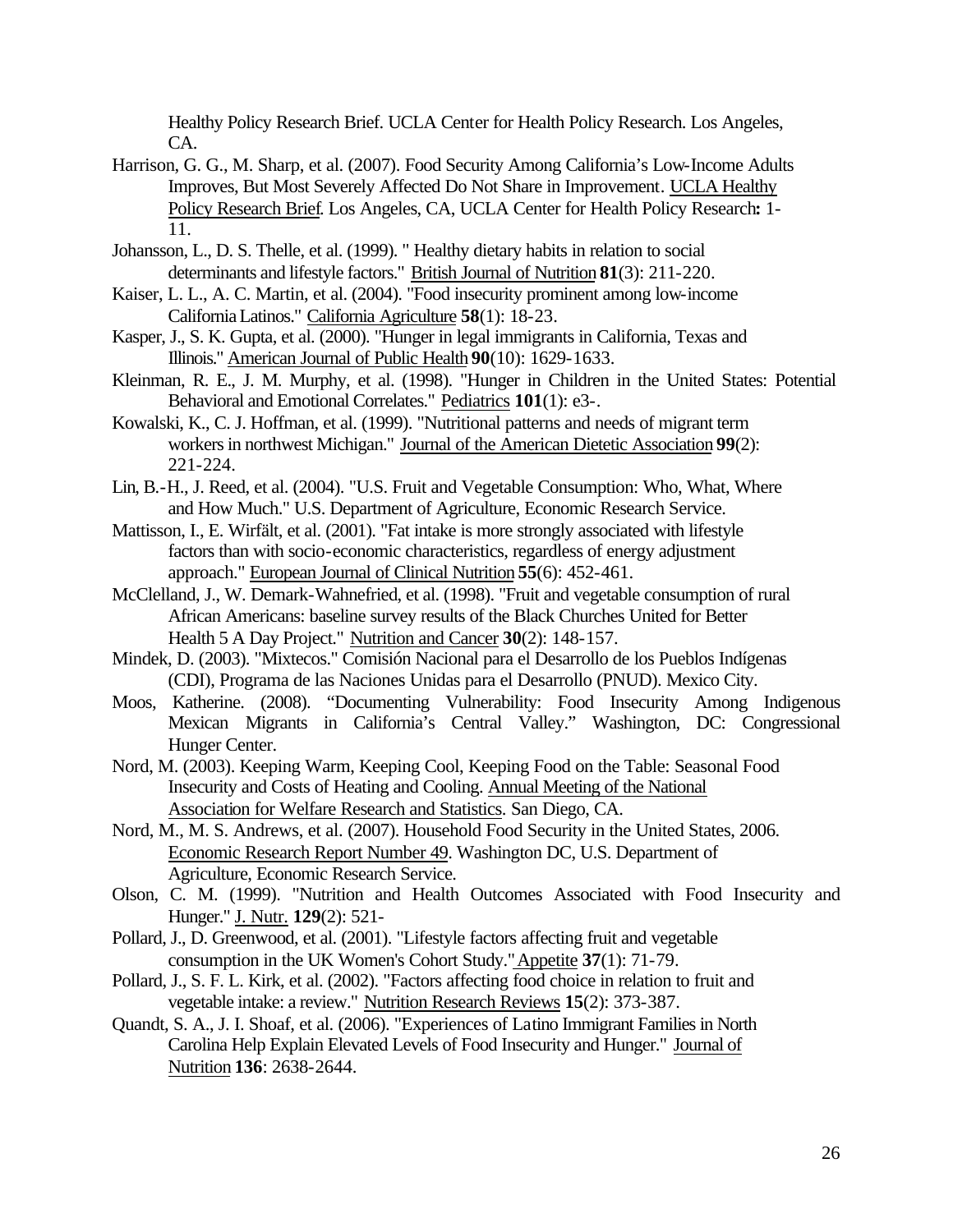Healthy Policy Research Brief. UCLA Center for Health Policy Research. Los Angeles, CA.

- Harrison, G. G., M. Sharp, et al. (2007). Food Security Among California's Low-Income Adults Improves, But Most Severely Affected Do Not Share in Improvement. UCLA Healthy Policy Research Brief. Los Angeles, CA, UCLA Center for Health Policy Research**:** 1- 11.
- Johansson, L., D. S. Thelle, et al. (1999). " Healthy dietary habits in relation to social determinants and lifestyle factors." British Journal of Nutrition **81**(3): 211-220.
- Kaiser, L. L., A. C. Martin, et al. (2004). "Food insecurity prominent among low-income California Latinos." California Agriculture **58**(1): 18-23.
- Kasper, J., S. K. Gupta, et al. (2000). "Hunger in legal immigrants in California, Texas and Illinois." American Journal of Public Health **90**(10): 1629-1633.
- Kleinman, R. E., J. M. Murphy, et al. (1998). "Hunger in Children in the United States: Potential Behavioral and Emotional Correlates." Pediatrics **101**(1): e3-.
- Kowalski, K., C. J. Hoffman, et al. (1999). "Nutritional patterns and needs of migrant term workers in northwest Michigan." Journal of the American Dietetic Association **99**(2): 221-224.
- Lin, B.-H., J. Reed, et al. (2004). "U.S. Fruit and Vegetable Consumption: Who, What, Where and How Much." U.S. Department of Agriculture, Economic Research Service.
- Mattisson, I., E. Wirfält, et al. (2001). "Fat intake is more strongly associated with lifestyle factors than with socio-economic characteristics, regardless of energy adjustment approach." European Journal of Clinical Nutrition **55**(6): 452-461.
- McClelland, J., W. Demark-Wahnefried, et al. (1998). "Fruit and vegetable consumption of rural African Americans: baseline survey results of the Black Churches United for Better Health 5 A Day Project." Nutrition and Cancer **30**(2): 148-157.
- Mindek, D. (2003). "Mixtecos." Comisión Nacional para el Desarrollo de los Pueblos Indígenas (CDI), Programa de las Naciones Unidas para el Desarrollo (PNUD). Mexico City.
- Moos, Katherine. (2008). "Documenting Vulnerability: Food Insecurity Among Indigenous Mexican Migrants in California's Central Valley." Washington, DC: Congressional Hunger Center.
- Nord, M. (2003). Keeping Warm, Keeping Cool, Keeping Food on the Table: Seasonal Food Insecurity and Costs of Heating and Cooling. Annual Meeting of the National Association for Welfare Research and Statistics. San Diego, CA.
- Nord, M., M. S. Andrews, et al. (2007). Household Food Security in the United States, 2006. Economic Research Report Number 49. Washington DC, U.S. Department of Agriculture, Economic Research Service.
- Olson, C. M. (1999). "Nutrition and Health Outcomes Associated with Food Insecurity and Hunger." J. Nutr. **129**(2): 521-
- Pollard, J., D. Greenwood, et al. (2001). "Lifestyle factors affecting fruit and vegetable consumption in the UK Women's Cohort Study." Appetite **37**(1): 71-79.
- Pollard, J., S. F. L. Kirk, et al. (2002). "Factors affecting food choice in relation to fruit and vegetable intake: a review." Nutrition Research Reviews **15**(2): 373-387.
- Quandt, S. A., J. I. Shoaf, et al. (2006). "Experiences of Latino Immigrant Families in North Carolina Help Explain Elevated Levels of Food Insecurity and Hunger." Journal of Nutrition **136**: 2638-2644.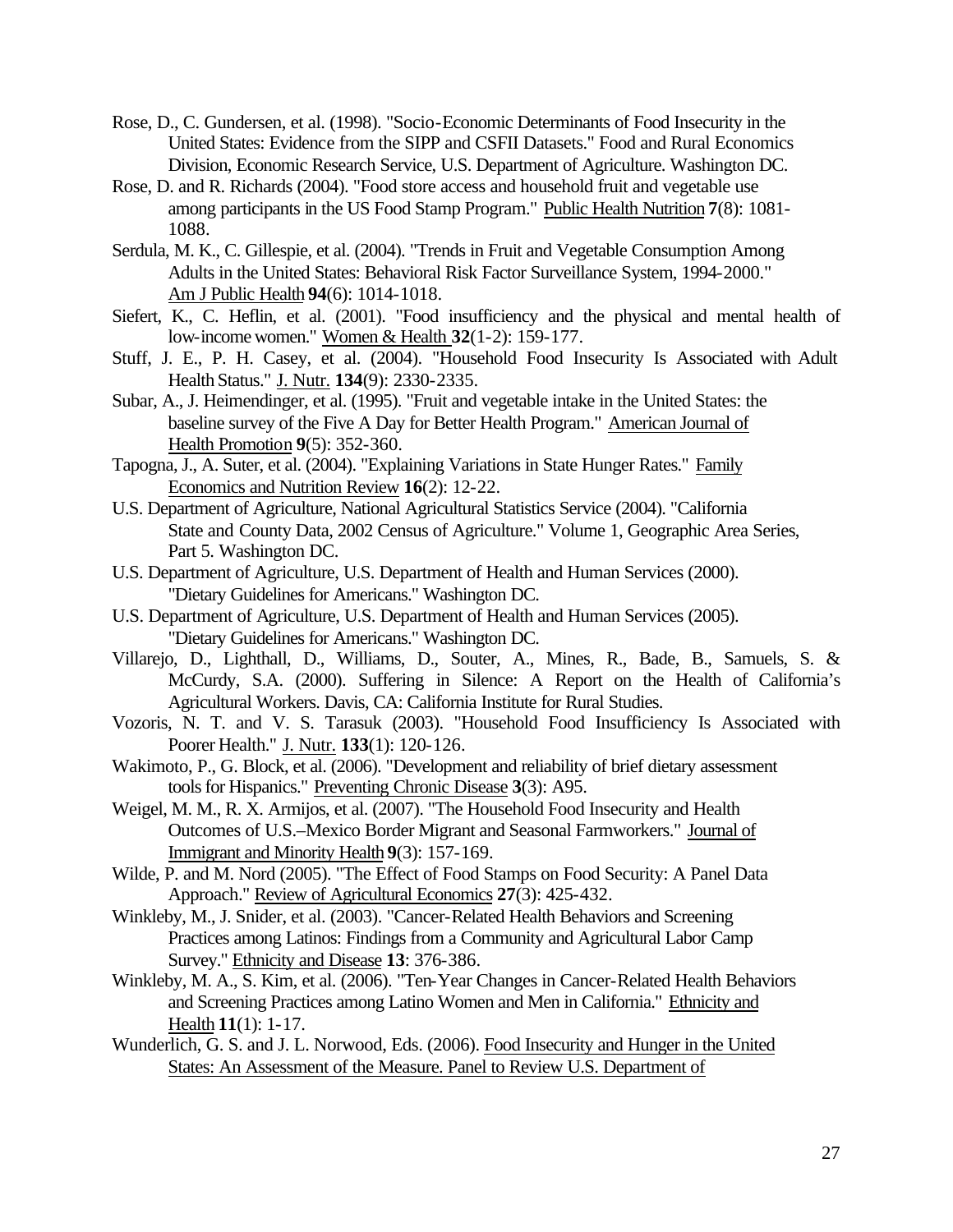- Rose, D., C. Gundersen, et al. (1998). "Socio-Economic Determinants of Food Insecurity in the United States: Evidence from the SIPP and CSFII Datasets." Food and Rural Economics Division, Economic Research Service, U.S. Department of Agriculture. Washington DC.
- Rose, D. and R. Richards (2004). "Food store access and household fruit and vegetable use among participants in the US Food Stamp Program." Public Health Nutrition **7**(8): 1081- 1088.
- Serdula, M. K., C. Gillespie, et al. (2004). "Trends in Fruit and Vegetable Consumption Among Adults in the United States: Behavioral Risk Factor Surveillance System, 1994-2000." Am J Public Health **94**(6): 1014-1018.
- Siefert, K., C. Heflin, et al. (2001). "Food insufficiency and the physical and mental health of low-income women." Women & Health **32**(1-2): 159-177.
- Stuff, J. E., P. H. Casey, et al. (2004). "Household Food Insecurity Is Associated with Adult Health Status." J. Nutr. **134**(9): 2330-2335.
- Subar, A., J. Heimendinger, et al. (1995). "Fruit and vegetable intake in the United States: the baseline survey of the Five A Day for Better Health Program." American Journal of Health Promotion **9**(5): 352-360.
- Tapogna, J., A. Suter, et al. (2004). "Explaining Variations in State Hunger Rates." Family Economics and Nutrition Review **16**(2): 12-22.
- U.S. Department of Agriculture, National Agricultural Statistics Service (2004). "California State and County Data, 2002 Census of Agriculture." Volume 1, Geographic Area Series, Part 5. Washington DC.
- U.S. Department of Agriculture, U.S. Department of Health and Human Services (2000). "Dietary Guidelines for Americans." Washington DC.
- U.S. Department of Agriculture, U.S. Department of Health and Human Services (2005). "Dietary Guidelines for Americans." Washington DC.
- Villarejo, D., Lighthall, D., Williams, D., Souter, A., Mines, R., Bade, B., Samuels, S. & McCurdy, S.A. (2000). Suffering in Silence: A Report on the Health of California's Agricultural Workers. Davis, CA: California Institute for Rural Studies.
- Vozoris, N. T. and V. S. Tarasuk (2003). "Household Food Insufficiency Is Associated with Poorer Health." J. Nutr. **133**(1): 120-126.
- Wakimoto, P., G. Block, et al. (2006). "Development and reliability of brief dietary assessment tools for Hispanics." Preventing Chronic Disease **3**(3): A95.
- Weigel, M. M., R. X. Armijos, et al. (2007). "The Household Food Insecurity and Health Outcomes of U.S.–Mexico Border Migrant and Seasonal Farmworkers." Journal of Immigrant and Minority Health **9**(3): 157-169.
- Wilde, P. and M. Nord (2005). "The Effect of Food Stamps on Food Security: A Panel Data Approach." Review of Agricultural Economics **27**(3): 425-432.
- Winkleby, M., J. Snider, et al. (2003). "Cancer-Related Health Behaviors and Screening Practices among Latinos: Findings from a Community and Agricultural Labor Camp Survey." Ethnicity and Disease **13**: 376-386.
- Winkleby, M. A., S. Kim, et al. (2006). "Ten-Year Changes in Cancer-Related Health Behaviors and Screening Practices among Latino Women and Men in California." Ethnicity and Health **11**(1): 1-17.
- Wunderlich, G. S. and J. L. Norwood, Eds. (2006). Food Insecurity and Hunger in the United States: An Assessment of the Measure. Panel to Review U.S. Department of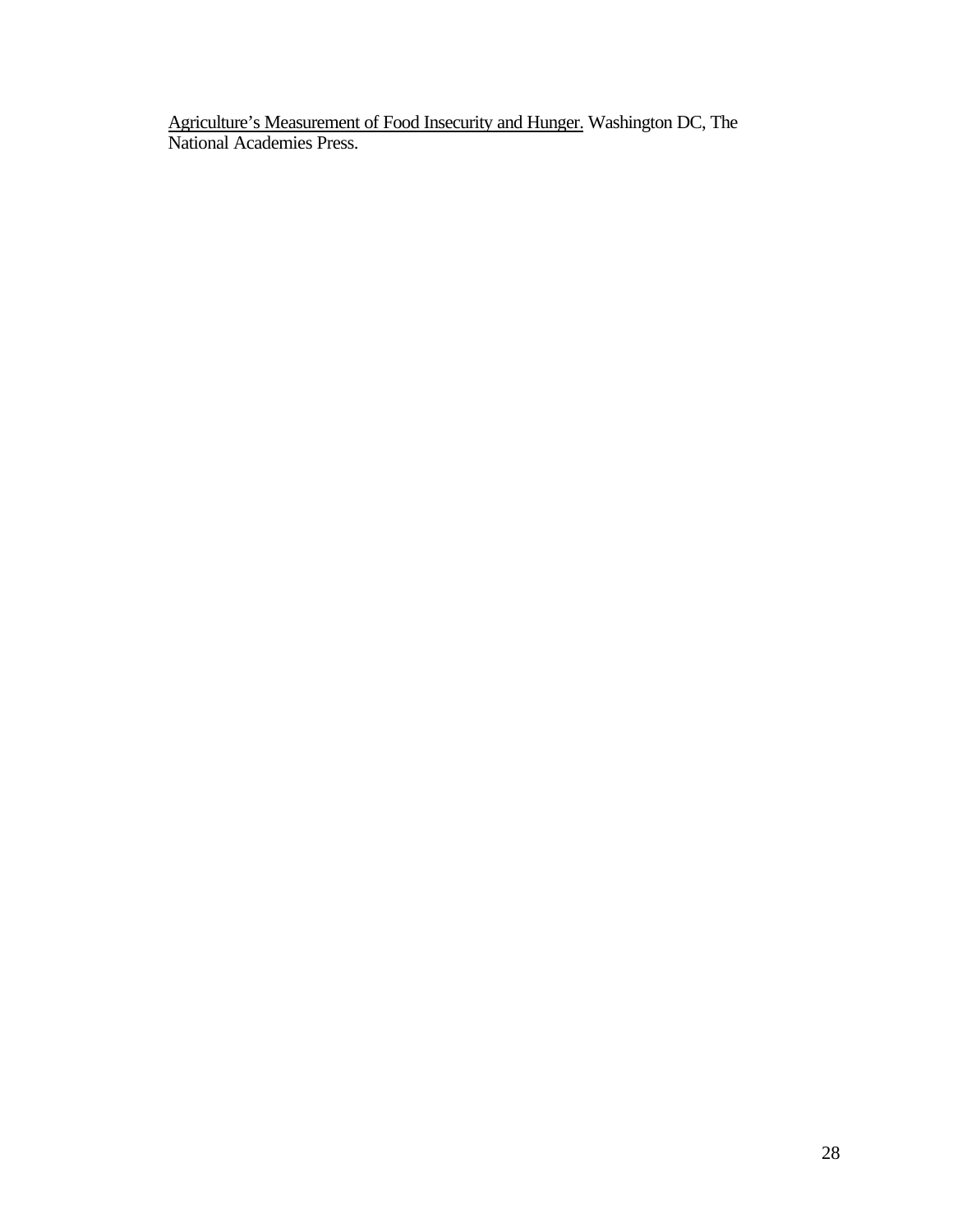Agriculture's Measurement of Food Insecurity and Hunger. Washington DC, The National Academies Press.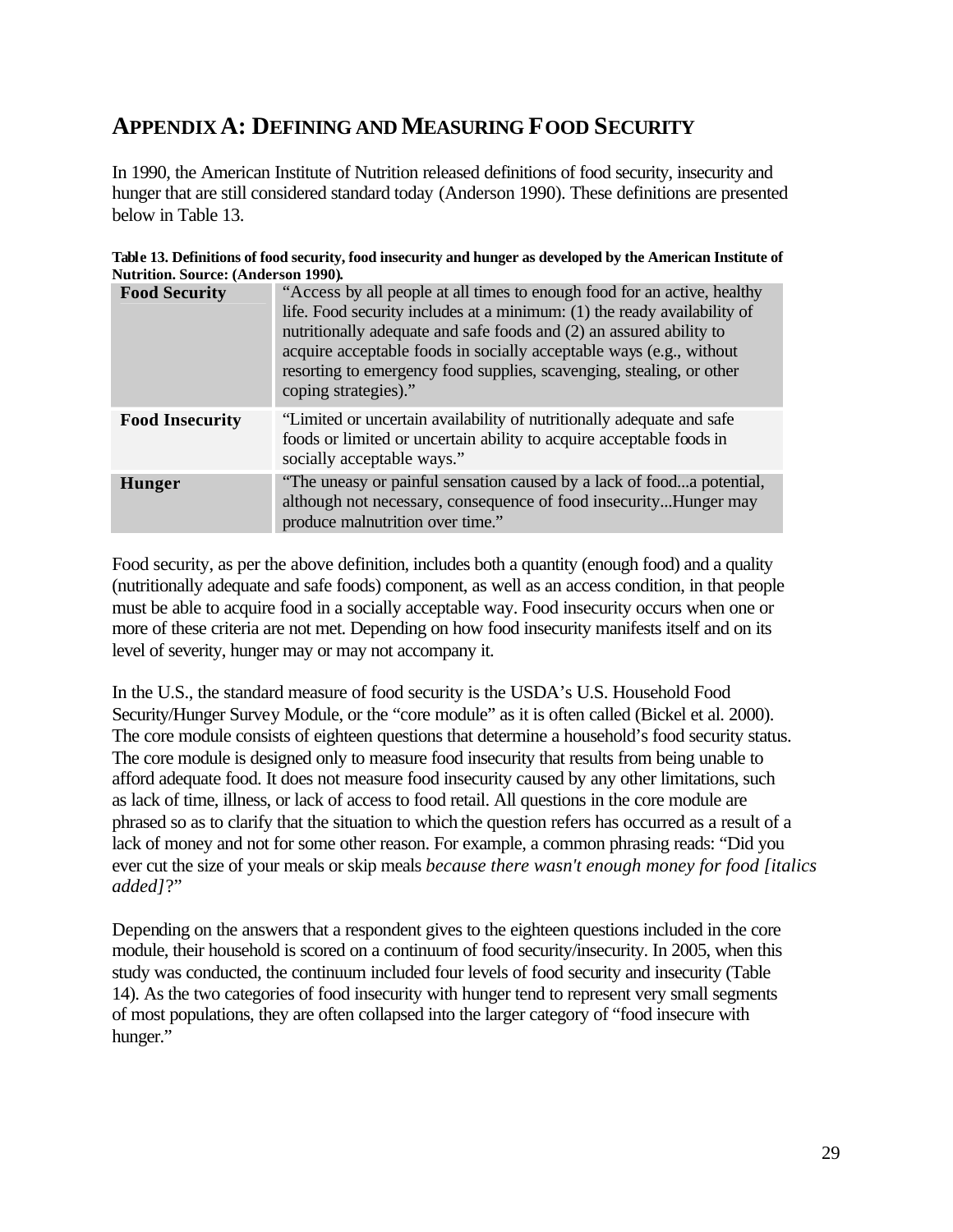## **APPENDIX A: DEFINING AND MEASURING FOOD SECURITY**

In 1990, the American Institute of Nutrition released definitions of food security, insecurity and hunger that are still considered standard today (Anderson 1990). These definitions are presented below in Table 13.

| Table 13. Definitions of food security, food insecurity and hunger as developed by the American Institute of |
|--------------------------------------------------------------------------------------------------------------|
| <b>Nutrition. Source: (Anderson 1990).</b>                                                                   |

| <b>Food Security</b>   | "Access by all people at all times to enough food for an active, healthy<br>life. Food security includes at a minimum: (1) the ready availability of<br>nutritionally adequate and safe foods and (2) an assured ability to<br>acquire acceptable foods in socially acceptable ways (e.g., without<br>resorting to emergency food supplies, scavenging, stealing, or other<br>coping strategies)." |
|------------------------|----------------------------------------------------------------------------------------------------------------------------------------------------------------------------------------------------------------------------------------------------------------------------------------------------------------------------------------------------------------------------------------------------|
| <b>Food Insecurity</b> | "Limited or uncertain availability of nutritionally adequate and safe<br>foods or limited or uncertain ability to acquire acceptable foods in<br>socially acceptable ways."                                                                                                                                                                                                                        |
| <b>Hunger</b>          | "The uneasy or painful sensation caused by a lack of fooda potential,<br>although not necessary, consequence of food insecurityHunger may<br>produce malnutrition over time."                                                                                                                                                                                                                      |

Food security, as per the above definition, includes both a quantity (enough food) and a quality (nutritionally adequate and safe foods) component, as well as an access condition, in that people must be able to acquire food in a socially acceptable way. Food insecurity occurs when one or more of these criteria are not met. Depending on how food insecurity manifests itself and on its level of severity, hunger may or may not accompany it.

In the U.S., the standard measure of food security is the USDA's U.S. Household Food Security/Hunger Survey Module, or the "core module" as it is often called (Bickel et al. 2000). The core module consists of eighteen questions that determine a household's food security status. The core module is designed only to measure food insecurity that results from being unable to afford adequate food. It does not measure food insecurity caused by any other limitations, such as lack of time, illness, or lack of access to food retail. All questions in the core module are phrased so as to clarify that the situation to which the question refers has occurred as a result of a lack of money and not for some other reason. For example, a common phrasing reads: "Did you ever cut the size of your meals or skip meals *because there wasn't enough money for food [italics added]*?"

Depending on the answers that a respondent gives to the eighteen questions included in the core module, their household is scored on a continuum of food security/insecurity. In 2005, when this study was conducted, the continuum included four levels of food security and insecurity (Table 14). As the two categories of food insecurity with hunger tend to represent very small segments of most populations, they are often collapsed into the larger category of "food insecure with hunger."